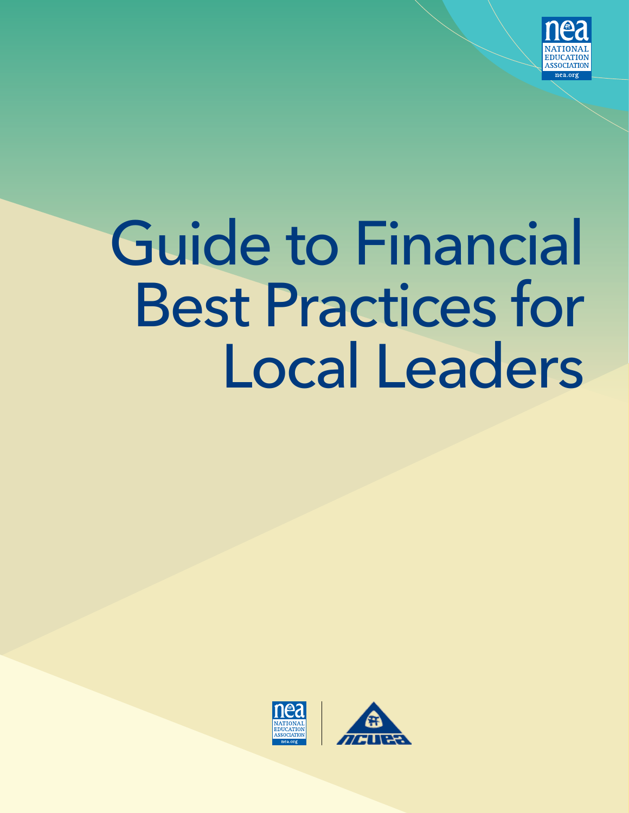

# Guide to Financial Best Practices for Local Leaders



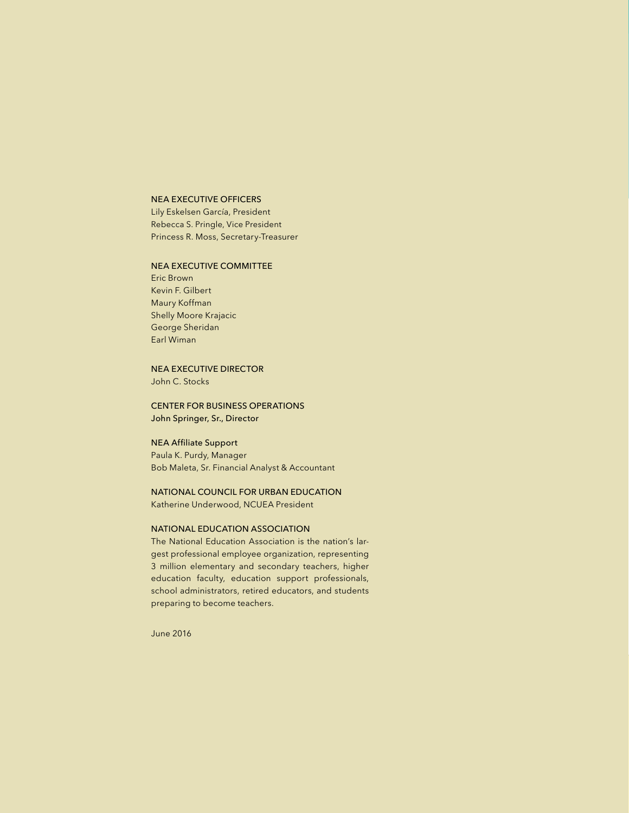#### NEA EXECUTIVE OFFICERS

Lily Eskelsen García, President Rebecca S. Pringle, Vice President Princess R. Moss, Secretary-Treasurer

#### NEA EXECUTIVE COMMITTEE

Eric Brown Kevin F. Gilbert Maury Koffman Shelly Moore Krajacic George Sheridan Earl Wiman

NEA EXECUTIVE DIRECTOR John C. Stocks

CENTER FOR BUSINESS OPERATIONS John Springer, Sr., Director

#### NEA Affiliate Support

Paula K. Purdy, Manager Bob Maleta, Sr. Financial Analyst & Accountant

#### NATIONAL COUNCIL FOR URBAN EDUCATION

Katherine Underwood, NCUEA President

#### NATIONAL EDUCATION ASSOCIATION

The National Education Association is the nation's largest professional employee organization, representing 3 million elementary and secondary teachers, higher education faculty, education support professionals, school administrators, retired educators, and students preparing to become teachers.

June 2016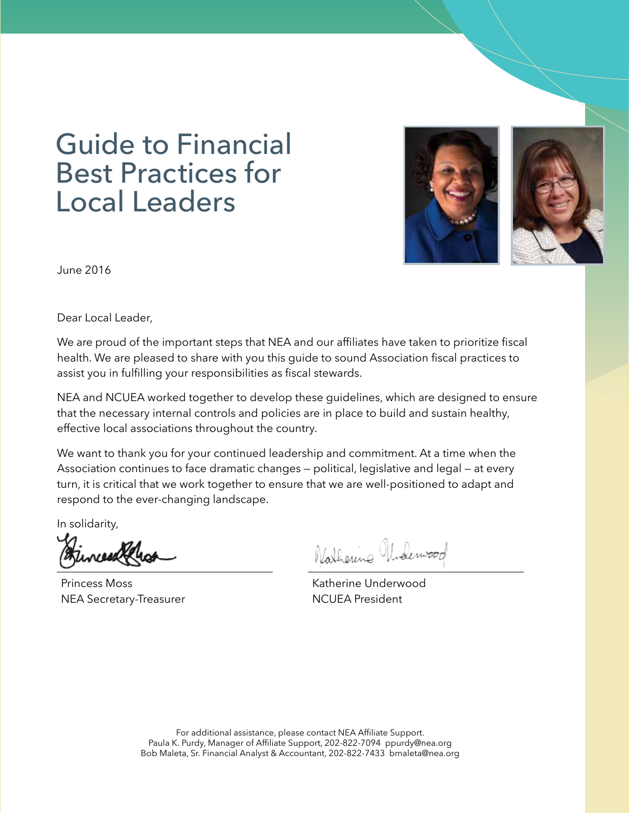# Guide to Financial Best Practices for Local Leaders





June 2016

Dear Local Leader,

We are proud of the important steps that NEA and our affiliates have taken to prioritize fiscal health. We are pleased to share with you this guide to sound Association fiscal practices to assist you in fulfilling your responsibilities as fiscal stewards.

NEA and NCUEA worked together to develop these guidelines, which are designed to ensure that the necessary internal controls and policies are in place to build and sustain healthy, effective local associations throughout the country.

We want to thank you for your continued leadership and commitment. At a time when the Association continues to face dramatic changes — political, legislative and legal — at every turn, it is critical that we work together to ensure that we are well-positioned to adapt and respond to the ever-changing landscape.

In solidarity,

Princess Moss NEA Secretary-Treasurer

Nathering Underwood

Katherine Underwood NCUEA President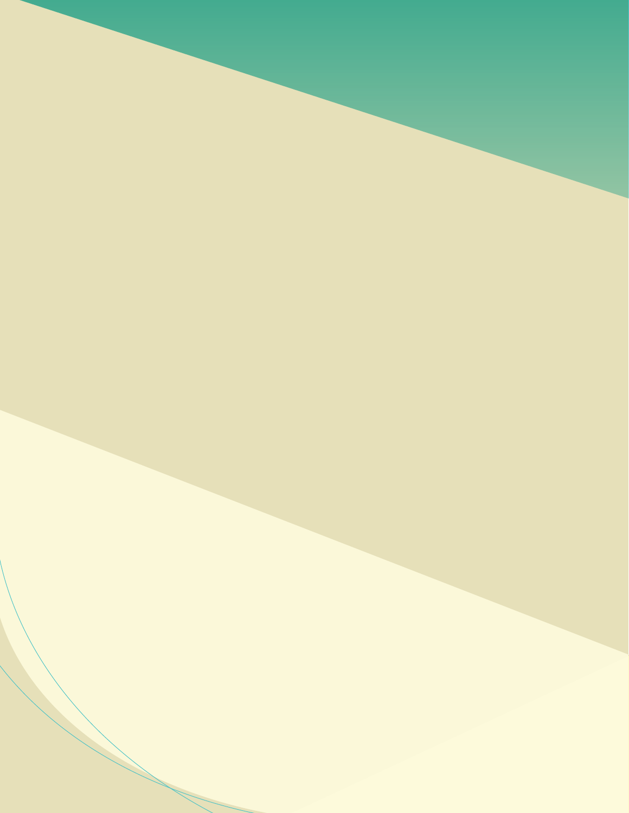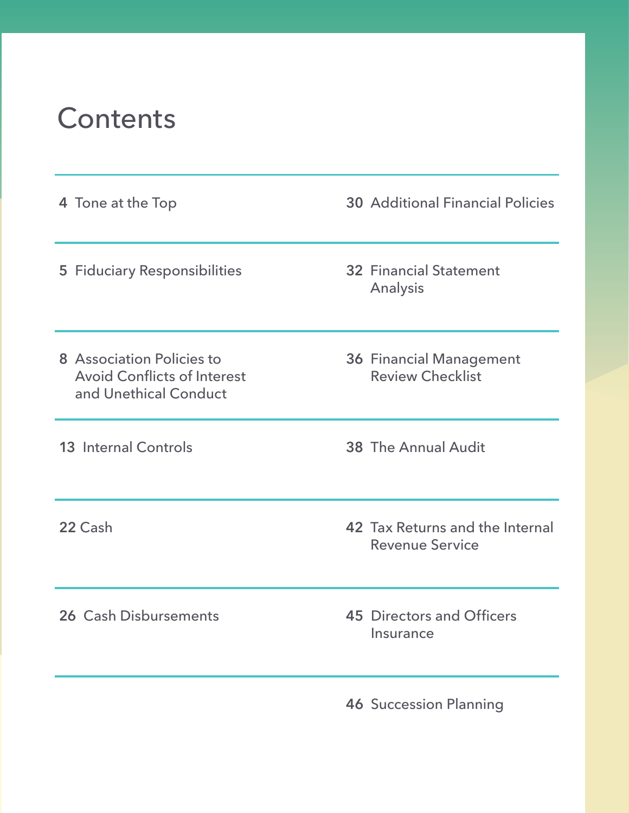# **Contents**

| 4 Tone at the Top                                                                        | <b>30 Additional Financial Policies</b>                   |
|------------------------------------------------------------------------------------------|-----------------------------------------------------------|
| 5 Fiduciary Responsibilities                                                             | <b>32 Financial Statement</b><br>Analysis                 |
| 8 Association Policies to<br><b>Avoid Conflicts of Interest</b><br>and Unethical Conduct | <b>36 Financial Management</b><br><b>Review Checklist</b> |
| <b>13 Internal Controls</b>                                                              | <b>38 The Annual Audit</b>                                |
| 22 Cash                                                                                  | 42 Tax Returns and the Internal<br><b>Revenue Service</b> |
| 26 Cash Disbursements                                                                    | <b>45 Directors and Officers</b><br>Insurance             |
|                                                                                          | <b>46 Succession Planning</b>                             |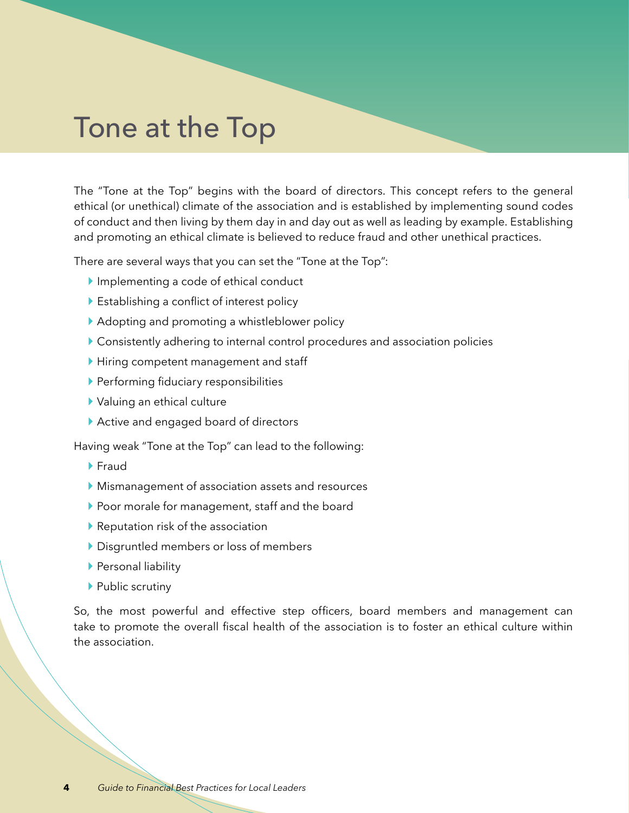# Tone at the Top

The "Tone at the Top" begins with the board of directors. This concept refers to the general ethical (or unethical) climate of the association and is established by implementing sound codes of conduct and then living by them day in and day out as well as leading by example. Establishing and promoting an ethical climate is believed to reduce fraud and other unethical practices.

There are several ways that you can set the "Tone at the Top":

- ``  Implementing a code of ethical conduct
- ▶ Establishing a conflict of interest policy
- ▶ Adopting and promoting a whistleblower policy
- $\blacktriangleright$  Consistently adhering to internal control procedures and association policies
- **I** Hiring competent management and staff
- **•** Performing fiduciary responsibilities
- ▶ Valuing an ethical culture
- ▶ Active and engaged board of directors

Having weak "Tone at the Top" can lead to the following:

- ``  Fraud
- **Mismanagement of association assets and resources**
- **Poor morale for management, staff and the board**
- ▶ Reputation risk of the association
- ▶ Disgruntled members or loss of members
- ``  Personal liability
- ▶ Public scrutiny

So, the most powerful and effective step officers, board members and management can take to promote the overall fiscal health of the association is to foster an ethical culture within the association.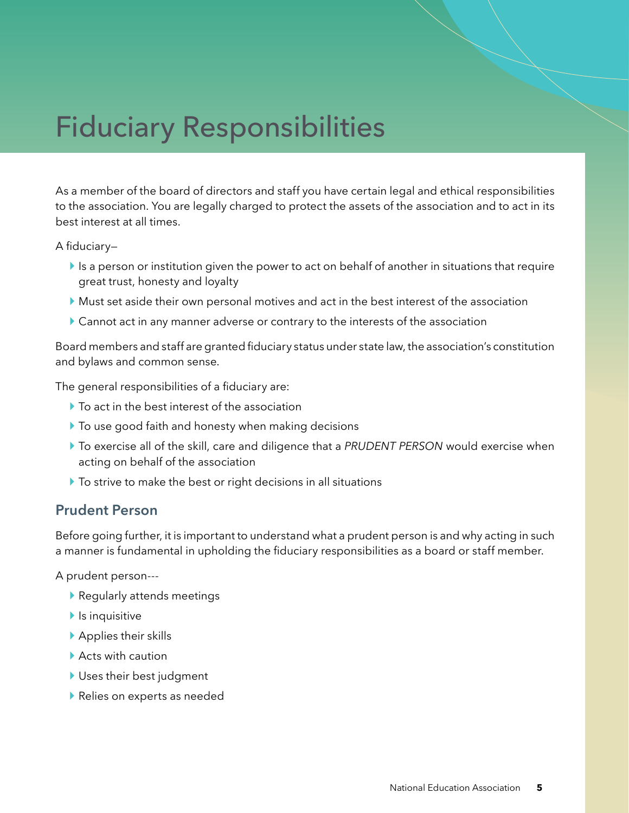# Fiduciary Responsibilities

As a member of the board of directors and staff you have certain legal and ethical responsibilities to the association. You are legally charged to protect the assets of the association and to act in its best interest at all times.

#### A fiduciary—

- $\blacktriangleright$  Is a person or institution given the power to act on behalf of another in situations that require great trust, honesty and loyalty
- **•** Must set aside their own personal motives and act in the best interest of the association
- ▶ Cannot act in any manner adverse or contrary to the interests of the association

Board members and staff are granted fiduciary status under state law, the association's constitution and bylaws and common sense.

The general responsibilities of a fiduciary are:

- $\blacktriangleright$  To act in the best interest of the association
- $\blacktriangleright$  To use good faith and honesty when making decisions
- $\blacktriangleright$  To exercise all of the skill, care and diligence that a *PRUDENT PERSON* would exercise when acting on behalf of the association
- $\blacktriangleright$  To strive to make the best or right decisions in all situations

# **Prudent Person**

Before going further, it is important to understand what a prudent person is and why acting in such a manner is fundamental in upholding the fiduciary responsibilities as a board or staff member.

A prudent person---

- **•** Regularly attends meetings
- **I**s inquisitive
- ▶ Applies their skills
- **Acts with caution**
- ▶ Uses their best judgment
- **•** Relies on experts as needed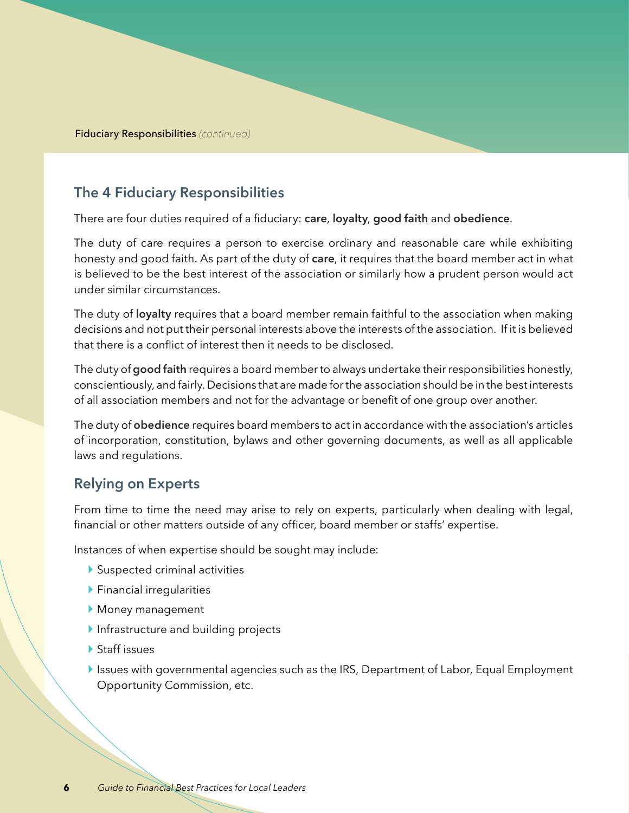Fiduciary Responsibilities *(continued)*

### **The 4 Fiduciary Responsibilities**

There are four duties required of a fiduciary: **care**, **loyalty**, **good faith** and **obedience**.

The duty of care requires a person to exercise ordinary and reasonable care while exhibiting honesty and good faith. As part of the duty of **care**, it requires that the board member act in what is believed to be the best interest of the association or similarly how a prudent person would act under similar circumstances.

The duty of **loyalty** requires that a board member remain faithful to the association when making decisions and not put their personal interests above the interests of the association. If it is believed that there is a conflict of interest then it needs to be disclosed.

The duty of **good faith** requires a board member to always undertake their responsibilities honestly, conscientiously, and fairly. Decisions that are made for the association should be in the best interests of all association members and not for the advantage or benefit of one group over another.

The duty of **obedience** requires board members to act in accordance with the association's articles of incorporation, constitution, bylaws and other governing documents, as well as all applicable laws and regulations.

### **Relying on Experts**

From time to time the need may arise to rely on experts, particularly when dealing with legal, financial or other matters outside of any officer, board member or staffs' expertise.

Instances of when expertise should be sought may include:

- $\blacktriangleright$  Suspected criminal activities
- **Financial irregularities**
- ``  Money management
- **Infrastructure and building projects**
- ▶ Staff issues
- **E** Issues with governmental agencies such as the IRS, Department of Labor, Equal Employment Opportunity Commission, etc.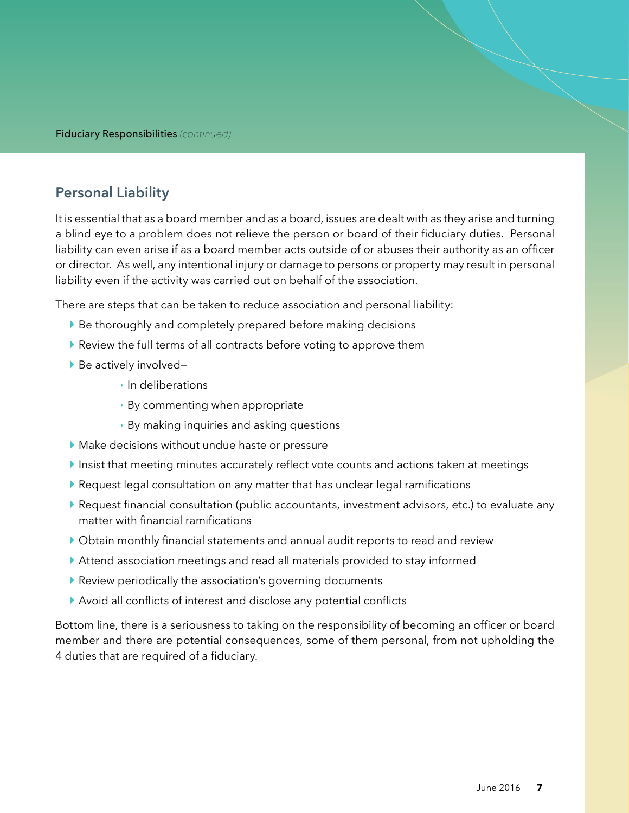# **Personal Liability**

It is essential that as a board member and as a board, issues are dealt with as they arise and turning a blind eye to a problem does not relieve the person or board of their fiduciary duties. Personal liability can even arise if as a board member acts outside of or abuses their authority as an officer or director. As well, any intentional injury or damage to persons or property may result in personal liability even if the activity was carried out on behalf of the association.

There are steps that can be taken to reduce association and personal liability:

- $\blacktriangleright$  Be thoroughly and completely prepared before making decisions
- $\blacktriangleright$  Review the full terms of all contracts before voting to approve them
- ▶ Be actively involved–
	- **In deliberations**
	- $\rightarrow$  By commenting when appropriate
	- $\rightarrow$  By making inquiries and asking questions
- **•** Make decisions without undue haste or pressure
- Insist that meeting minutes accurately reflect vote counts and actions taken at meetings
- **•** Request legal consultation on any matter that has unclear legal ramifications
- ▶ Request financial consultation (public accountants, investment advisors, etc.) to evaluate any matter with financial ramifications
- ``  Obtain monthly financial statements and annual audit reports to read and review
- **•** Attend association meetings and read all materials provided to stay informed
- **•** Review periodically the association's governing documents
- ▶ Avoid all conflicts of interest and disclose any potential conflicts

Bottom line, there is a seriousness to taking on the responsibility of becoming an officer or board member and there are potential consequences, some of them personal, from not upholding the 4 duties that are required of a fiduciary.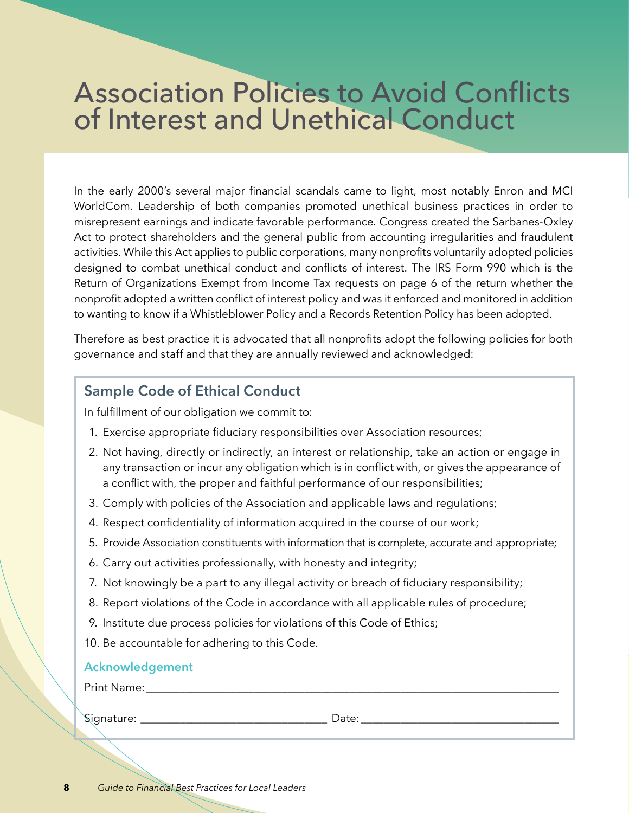In the early 2000's several major financial scandals came to light, most notably Enron and MCI WorldCom. Leadership of both companies promoted unethical business practices in order to misrepresent earnings and indicate favorable performance. Congress created the Sarbanes-Oxley Act to protect shareholders and the general public from accounting irregularities and fraudulent activities. While this Act applies to public corporations, many nonprofits voluntarily adopted policies designed to combat unethical conduct and conflicts of interest. The IRS Form 990 which is the Return of Organizations Exempt from Income Tax requests on page 6 of the return whether the nonprofit adopted a written conflict of interest policy and was it enforced and monitored in addition to wanting to know if a Whistleblower Policy and a Records Retention Policy has been adopted.

Therefore as best practice it is advocated that all nonprofits adopt the following policies for both governance and staff and that they are annually reviewed and acknowledged:

# **Sample Code of Ethical Conduct**

In fulfillment of our obligation we commit to:

- 1. Exercise appropriate fiduciary responsibilities over Association resources;
- 2. Not having, directly or indirectly, an interest or relationship, take an action or engage in any transaction or incur any obligation which is in conflict with, or gives the appearance of a conflict with, the proper and faithful performance of our responsibilities;
- 3. Comply with policies of the Association and applicable laws and regulations;
- 4. Respect confidentiality of information acquired in the course of our work;
- 5. Provide Association constituents with information that is complete, accurate and appropriate;
- 6. Carry out activities professionally, with honesty and integrity;
- 7. Not knowingly be a part to any illegal activity or breach of fiduciary responsibility;
- 8. Report violations of the Code in accordance with all applicable rules of procedure;
- 9. Institute due process policies for violations of this Code of Ethics;

10. Be accountable for adhering to this Code.

#### **Acknowledgement**

Print Name:

Signature:  $\Box$  Date:  $\Box$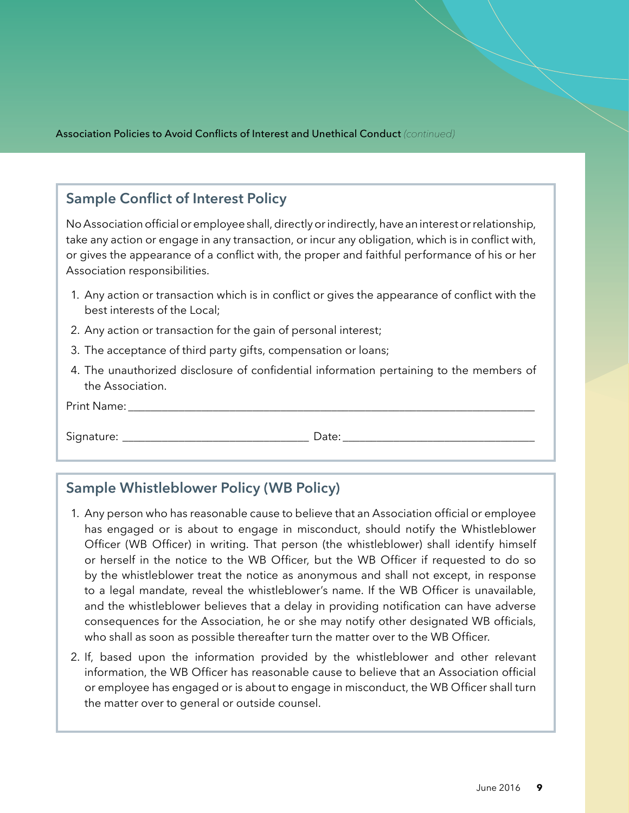# **Sample Conflict of Interest Policy**

No Association official or employee shall, directly or indirectly, have an interest or relationship, take any action or engage in any transaction, or incur any obligation, which is in conflict with, or gives the appearance of a conflict with, the proper and faithful performance of his or her Association responsibilities.

- 1. Any action or transaction which is in conflict or gives the appearance of conflict with the best interests of the Local;
- 2. Any action or transaction for the gain of personal interest;
- 3. The acceptance of third party gifts, compensation or loans;
- 4. The unauthorized disclosure of confidential information pertaining to the members of the Association.

Print Name:  $\blacksquare$ 

Signature: \_\_\_\_\_\_\_\_\_\_\_\_\_\_\_\_\_\_\_\_\_\_\_\_\_\_\_\_\_\_\_\_\_ Date: \_\_\_\_\_\_\_\_\_\_\_\_\_\_\_\_\_\_\_\_\_\_\_\_\_\_\_\_\_\_\_\_\_\_

# **Sample Whistleblower Policy (WB Policy)**

- 1. Any person who has reasonable cause to believe that an Association official or employee has engaged or is about to engage in misconduct, should notify the Whistleblower Officer (WB Officer) in writing. That person (the whistleblower) shall identify himself or herself in the notice to the WB Officer, but the WB Officer if requested to do so by the whistleblower treat the notice as anonymous and shall not except, in response to a legal mandate, reveal the whistleblower's name. If the WB Officer is unavailable, and the whistleblower believes that a delay in providing notification can have adverse consequences for the Association, he or she may notify other designated WB officials, who shall as soon as possible thereafter turn the matter over to the WB Officer.
- 2. If, based upon the information provided by the whistleblower and other relevant information, the WB Officer has reasonable cause to believe that an Association official or employee has engaged or is about to engage in misconduct, the WB Officer shall turn the matter over to general or outside counsel.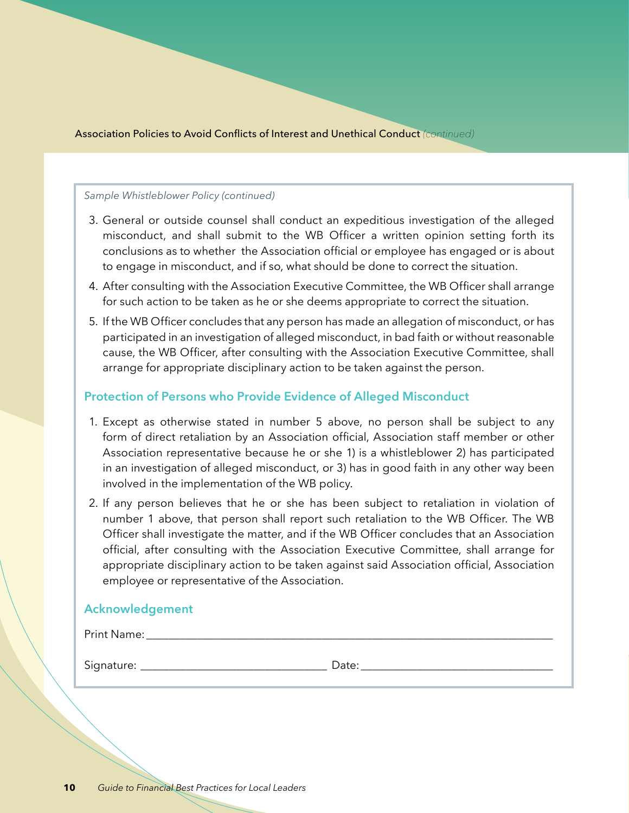#### *Sample Whistleblower Policy (continued)*

- 3. General or outside counsel shall conduct an expeditious investigation of the alleged misconduct, and shall submit to the WB Officer a written opinion setting forth its conclusions as to whether the Association official or employee has engaged or is about to engage in misconduct, and if so, what should be done to correct the situation.
- 4. After consulting with the Association Executive Committee, the WB Officer shall arrange for such action to be taken as he or she deems appropriate to correct the situation.
- 5. If the WB Officer concludes that any person has made an allegation of misconduct, or has participated in an investigation of alleged misconduct, in bad faith or without reasonable cause, the WB Officer, after consulting with the Association Executive Committee, shall arrange for appropriate disciplinary action to be taken against the person.

#### **Protection of Persons who Provide Evidence of Alleged Misconduct**

- 1. Except as otherwise stated in number 5 above, no person shall be subject to any form of direct retaliation by an Association official, Association staff member or other Association representative because he or she 1) is a whistleblower 2) has participated in an investigation of alleged misconduct, or 3) has in good faith in any other way been involved in the implementation of the WB policy.
- 2. If any person believes that he or she has been subject to retaliation in violation of number 1 above, that person shall report such retaliation to the WB Officer. The WB Officer shall investigate the matter, and if the WB Officer concludes that an Association official, after consulting with the Association Executive Committee, shall arrange for appropriate disciplinary action to be taken against said Association official, Association employee or representative of the Association.

#### **Acknowledgement**

| Print Name: |       |
|-------------|-------|
| Signature:  | Date: |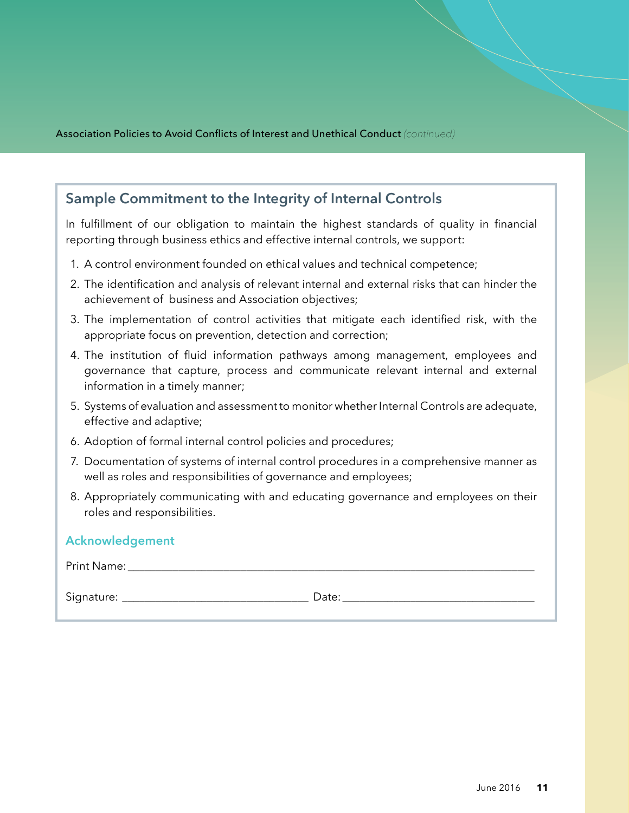### **Sample Commitment to the Integrity of Internal Controls**

In fulfillment of our obligation to maintain the highest standards of quality in financial reporting through business ethics and effective internal controls, we support:

- 1. A control environment founded on ethical values and technical competence;
- 2. The identification and analysis of relevant internal and external risks that can hinder the achievement of business and Association objectives;
- 3. The implementation of control activities that mitigate each identified risk, with the appropriate focus on prevention, detection and correction;
- 4. The institution of fluid information pathways among management, employees and governance that capture, process and communicate relevant internal and external information in a timely manner;
- 5. Systems of evaluation and assessment to monitor whether Internal Controls are adequate, effective and adaptive;
- 6. Adoption of formal internal control policies and procedures;
- 7. Documentation of systems of internal control procedures in a comprehensive manner as well as roles and responsibilities of governance and employees;
- 8. Appropriately communicating with and educating governance and employees on their roles and responsibilities.

#### **Acknowledgement**

| Print Name:  |       |
|--------------|-------|
| Signature: _ | Date: |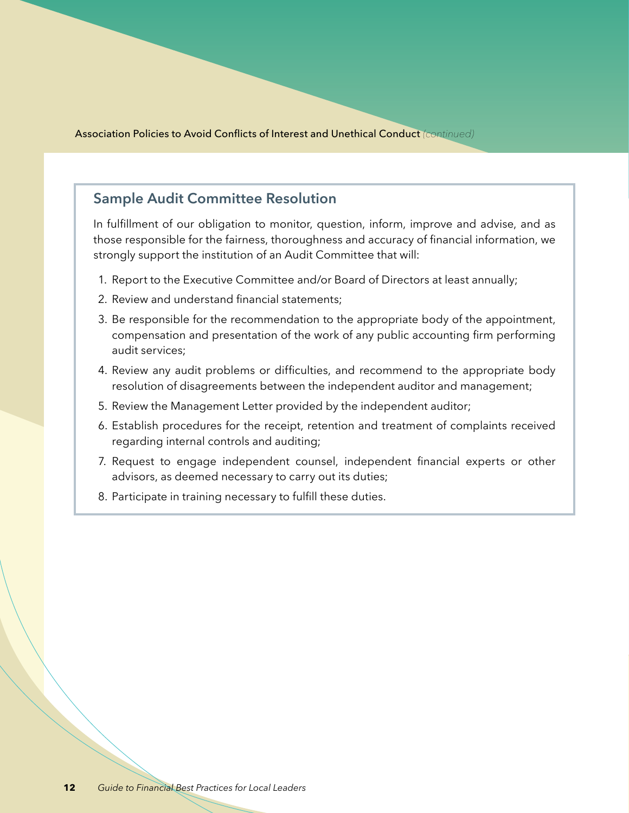#### **Sample Audit Committee Resolution**

In fulfillment of our obligation to monitor, question, inform, improve and advise, and as those responsible for the fairness, thoroughness and accuracy of financial information, we strongly support the institution of an Audit Committee that will:

- 1. Report to the Executive Committee and/or Board of Directors at least annually;
- 2. Review and understand financial statements;
- 3. Be responsible for the recommendation to the appropriate body of the appointment, compensation and presentation of the work of any public accounting firm performing audit services;
- 4. Review any audit problems or difficulties, and recommend to the appropriate body resolution of disagreements between the independent auditor and management;
- 5. Review the Management Letter provided by the independent auditor;
- 6. Establish procedures for the receipt, retention and treatment of complaints received regarding internal controls and auditing;
- 7. Request to engage independent counsel, independent financial experts or other advisors, as deemed necessary to carry out its duties;
- 8. Participate in training necessary to fulfill these duties.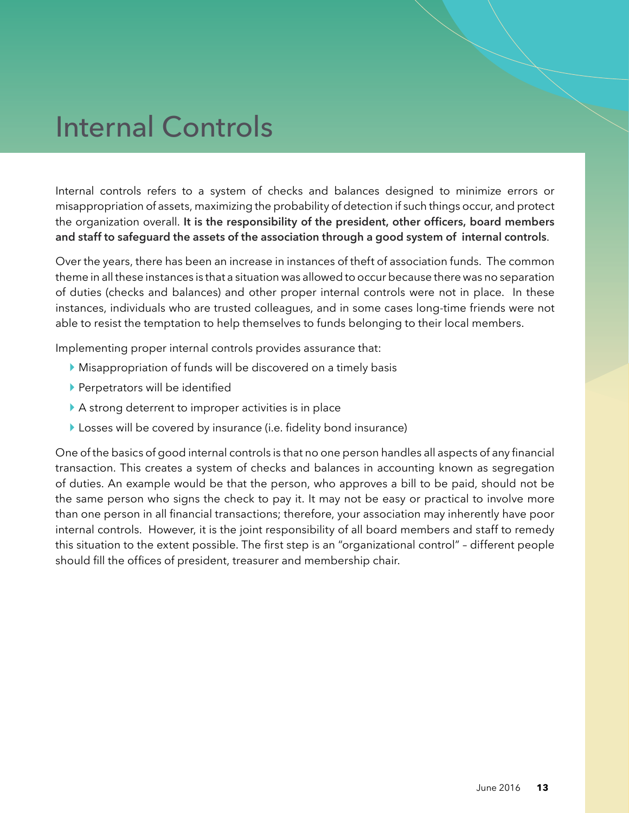# Internal Controls

Internal controls refers to a system of checks and balances designed to minimize errors or misappropriation of assets, maximizing the probability of detection if such things occur, and protect the organization overall. **It is the responsibility of the president, other officers, board members and staff to safeguard the assets of the association through a good system of internal controls**.

Over the years, there has been an increase in instances of theft of association funds. The common theme in all these instances is that a situation was allowed to occur because there was no separation of duties (checks and balances) and other proper internal controls were not in place. In these instances, individuals who are trusted colleagues, and in some cases long-time friends were not able to resist the temptation to help themselves to funds belonging to their local members.

Implementing proper internal controls provides assurance that:

- **•** Misappropriation of funds will be discovered on a timely basis
- **Perpetrators will be identified**
- ▶ A strong deterrent to improper activities is in place
- **•** Losses will be covered by insurance (i.e. fidelity bond insurance)

One of the basics of good internal controls is that no one person handles all aspects of any financial transaction. This creates a system of checks and balances in accounting known as segregation of duties. An example would be that the person, who approves a bill to be paid, should not be the same person who signs the check to pay it. It may not be easy or practical to involve more than one person in all financial transactions; therefore, your association may inherently have poor internal controls. However, it is the joint responsibility of all board members and staff to remedy this situation to the extent possible. The first step is an "organizational control" – different people should fill the offices of president, treasurer and membership chair.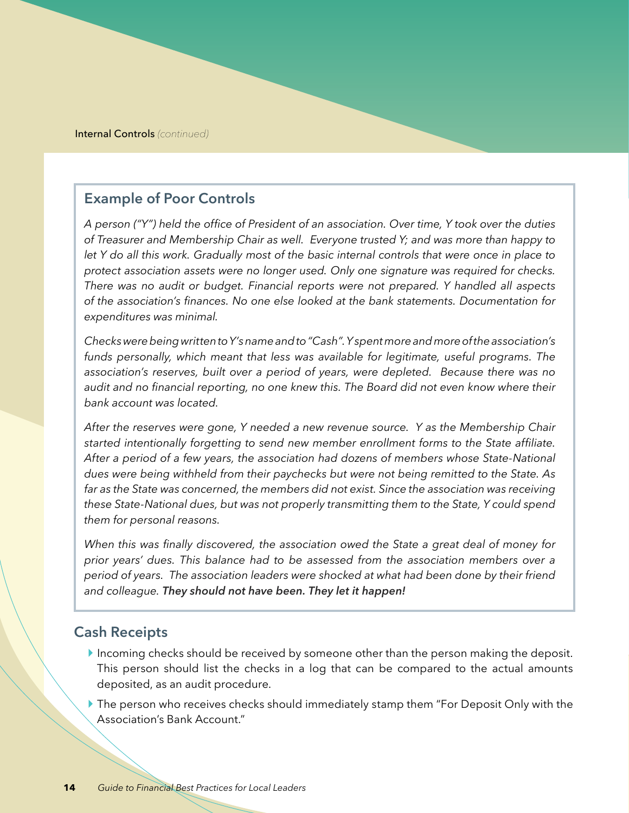#### **Example of Poor Controls**

*A person ("Y") held the office of President of an association. Over time, Y took over the duties of Treasurer and Membership Chair as well. Everyone trusted Y; and was more than happy to let Y do all this work. Gradually most of the basic internal controls that were once in place to protect association assets were no longer used. Only one signature was required for checks. There was no audit or budget. Financial reports were not prepared. Y handled all aspects of the association's finances. No one else looked at the bank statements. Documentation for expenditures was minimal.*

*Checks were being written to Y's name and to "Cash". Y spent more and more of the association's*  funds personally, which meant that less was available for legitimate, useful programs. The *association's reserves, built over a period of years, were depleted. Because there was no audit and no financial reporting, no one knew this. The Board did not even know where their bank account was located.*

*After the reserves were gone, Y needed a new revenue source. Y as the Membership Chair started intentionally forgetting to send new member enrollment forms to the State affiliate. After a period of a few years, the association had dozens of members whose State-National dues were being withheld from their paychecks but were not being remitted to the State. As*  far as the State was concerned, the members did not exist. Since the association was receiving *these State-National dues, but was not properly transmitting them to the State, Y could spend them for personal reasons.*

*When this was finally discovered, the association owed the State a great deal of money for prior years' dues. This balance had to be assessed from the association members over a period of years. The association leaders were shocked at what had been done by their friend and colleague. They should not have been. They let it happen!*

### **Cash Receipts**

- Incoming checks should be received by someone other than the person making the deposit. This person should list the checks in a log that can be compared to the actual amounts deposited, as an audit procedure.
- ▶ The person who receives checks should immediately stamp them "For Deposit Only with the Association's Bank Account."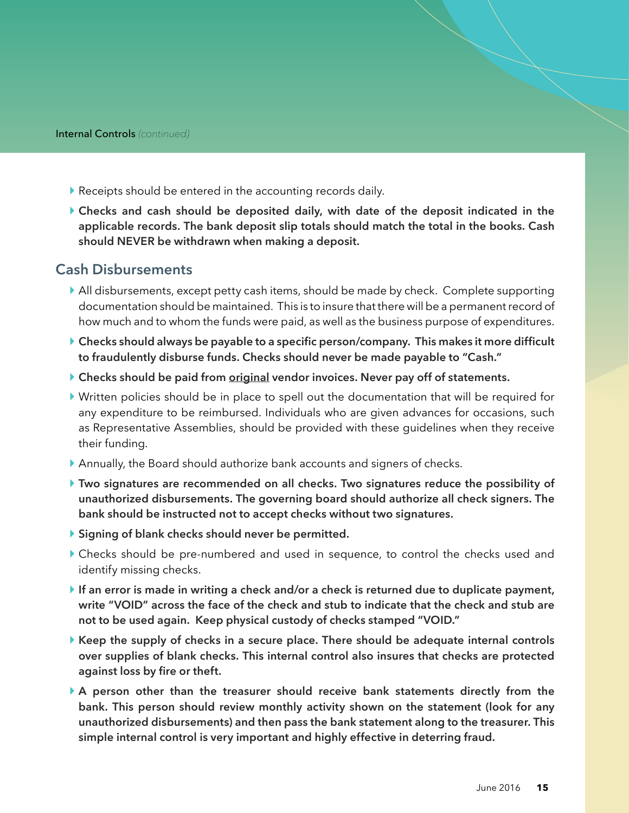- **•** Receipts should be entered in the accounting records daily.
- **•** Checks and cash should be deposited daily, with date of the deposit indicated in the **applicable records. The bank deposit slip totals should match the total in the books. Cash should NEVER be withdrawn when making a deposit.**

#### **Cash Disbursements**

- $\blacktriangleright$  All disbursements, except petty cash items, should be made by check. Complete supporting documentation should be maintained. This is to insure that there will be a permanent record of how much and to whom the funds were paid, as well as the business purpose of expenditures.
- **Checks should always be payable to a specific person/company. This makes it more difficult to fraudulently disburse funds. Checks should never be made payable to "Cash."**
- **Checks should be paid from original vendor invoices. Never pay off of statements.**
- $\blacktriangleright$  Written policies should be in place to spell out the documentation that will be required for any expenditure to be reimbursed. Individuals who are given advances for occasions, such as Representative Assemblies, should be provided with these guidelines when they receive their funding.
- ``  Annually, the Board should authorize bank accounts and signers of checks.
- **I** Two signatures are recommended on all checks. Two signatures reduce the possibility of **unauthorized disbursements. The governing board should authorize all check signers. The bank should be instructed not to accept checks without two signatures.**
- **Signing of blank checks should never be permitted.**
- Checks should be pre-numbered and used in sequence, to control the checks used and identify missing checks.
- ▶ If an error is made in writing a check and/or a check is returned due to duplicate payment, **write "VOID" across the face of the check and stub to indicate that the check and stub are not to be used again. Keep physical custody of checks stamped "VOID."**
- ▶ Keep the supply of checks in a secure place. There should be adequate internal controls **over supplies of blank checks. This internal control also insures that checks are protected against loss by fire or theft.**
- **•** A person other than the treasurer should receive bank statements directly from the **bank. This person should review monthly activity shown on the statement (look for any unauthorized disbursements) and then pass the bank statement along to the treasurer. This simple internal control is very important and highly effective in deterring fraud.**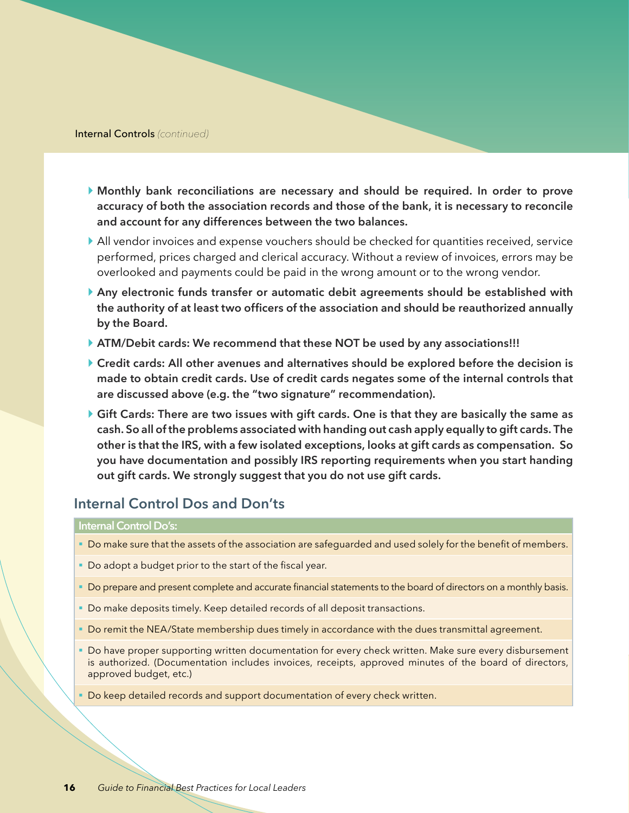- ``  **Monthly bank reconciliations are necessary and should be required. In order to prove accuracy of both the association records and those of the bank, it is necessary to reconcile and account for any differences between the two balances.**
- ▶ All vendor invoices and expense vouchers should be checked for quantities received, service performed, prices charged and clerical accuracy. Without a review of invoices, errors may be overlooked and payments could be paid in the wrong amount or to the wrong vendor.
- ▶ Any electronic funds transfer or automatic debit agreements should be established with **the authority of at least two officers of the association and should be reauthorized annually by the Board.**
- **ATM/Debit cards: We recommend that these NOT be used by any associations!!!**
- ▶ Credit cards: All other avenues and alternatives should be explored before the decision is **made to obtain credit cards. Use of credit cards negates some of the internal controls that are discussed above (e.g. the "two signature" recommendation).**
- ▶ Gift Cards: There are two issues with gift cards. One is that they are basically the same as **cash. So all of the problems associated with handing out cash apply equally to gift cards. The other is that the IRS, with a few isolated exceptions, looks at gift cards as compensation. So you have documentation and possibly IRS reporting requirements when you start handing out gift cards. We strongly suggest that you do not use gift cards.**

# **Internal Control Dos and Don'ts**

#### **Internal Control Do's:**

- Do make sure that the assets of the association are safeguarded and used solely for the benefit of members.
- Do adopt a budget prior to the start of the fiscal year.
- Do prepare and present complete and accurate financial statements to the board of directors on a monthly basis.
- Do make deposits timely. Keep detailed records of all deposit transactions.
- Do remit the NEA/State membership dues timely in accordance with the dues transmittal agreement.
- Do have proper supporting written documentation for every check written. Make sure every disbursement is authorized. (Documentation includes invoices, receipts, approved minutes of the board of directors, approved budget, etc.)
- Do keep detailed records and support documentation of every check written.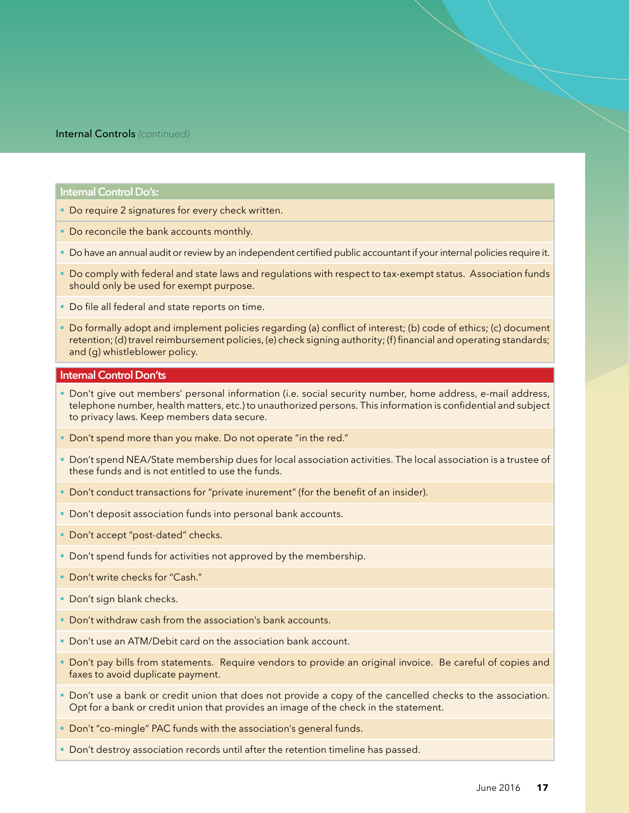#### **Internal Control Do's:**

- Do require 2 signatures for every check written.
- Do reconcile the bank accounts monthly.
- Do have an annual audit or review by an independent certified public accountant if your internal policies require it.
- Do comply with federal and state laws and regulations with respect to tax-exempt status. Association funds should only be used for exempt purpose.
- Do file all federal and state reports on time.
- Do formally adopt and implement policies regarding (a) conflict of interest; (b) code of ethics; (c) document retention; (d) travel reimbursement policies, (e) check signing authority; (f) financial and operating standards; and (g) whistleblower policy.

#### **Internal Control Don'ts**

- **Don't give out members' personal information (i.e. social security number, home address, e-mail address,** telephone number, health matters, etc.) to unauthorized persons. This information is confidential and subject to privacy laws. Keep members data secure.
- Don't spend more than you make. Do not operate "in the red."
- Don't spend NEA/State membership dues for local association activities. The local association is a trustee of these funds and is not entitled to use the funds.
- Don't conduct transactions for "private inurement" (for the benefit of an insider).
- **Don't deposit association funds into personal bank accounts.**
- Don't accept "post-dated" checks.
- Don't spend funds for activities not approved by the membership.
- Don't write checks for "Cash."
- Don't sign blank checks.
- Don't withdraw cash from the association's bank accounts.
- Don't use an ATM/Debit card on the association bank account.
- Don't pay bills from statements. Require vendors to provide an original invoice. Be careful of copies and faxes to avoid duplicate payment.
- Don't use a bank or credit union that does not provide a copy of the cancelled checks to the association. Opt for a bank or credit union that provides an image of the check in the statement.
- Don't "co-mingle" PAC funds with the association's general funds.
- **Don't destroy association records until after the retention timeline has passed.**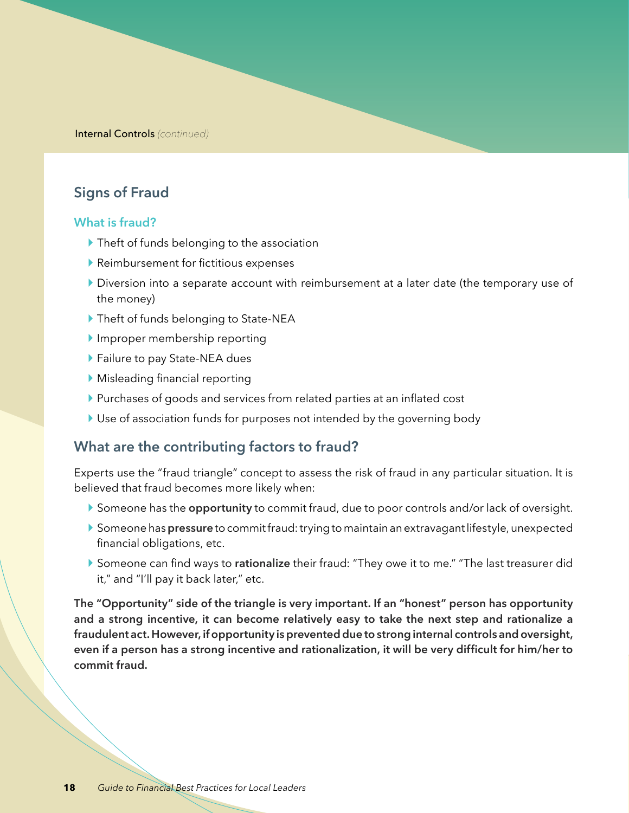### **Signs of Fraud**

#### **What is fraud?**

- ▶ Theft of funds belonging to the association
- ▶ Reimbursement for fictitious expenses
- ``  Diversion into a separate account with reimbursement at a later date (the temporary use of the money)
- **Theft of funds belonging to State-NEA**
- **I** Improper membership reporting
- ▶ Failure to pay State-NEA dues
- **•** Misleading financial reporting
- **Purchases of goods and services from related parties at an inflated cost**
- If Use of association funds for purposes not intended by the governing body

### **What are the contributing factors to fraud?**

Experts use the "fraud triangle" concept to assess the risk of fraud in any particular situation. It is believed that fraud becomes more likely when:

- **•** Someone has the **opportunity** to commit fraud, due to poor controls and/or lack of oversight.
- ▶ Someone has **pressure** to commit fraud: trying to maintain an extravagant lifestyle, unexpected financial obligations, etc.
- **•** Someone can find ways to **rationalize** their fraud: "They owe it to me." "The last treasurer did it," and "I'll pay it back later," etc.

**The "Opportunity" side of the triangle is very important. If an "honest" person has opportunity and a strong incentive, it can become relatively easy to take the next step and rationalize a fraudulent act. However, if opportunity is prevented due to strong internal controls and oversight, even if a person has a strong incentive and rationalization, it will be very difficult for him/her to commit fraud.**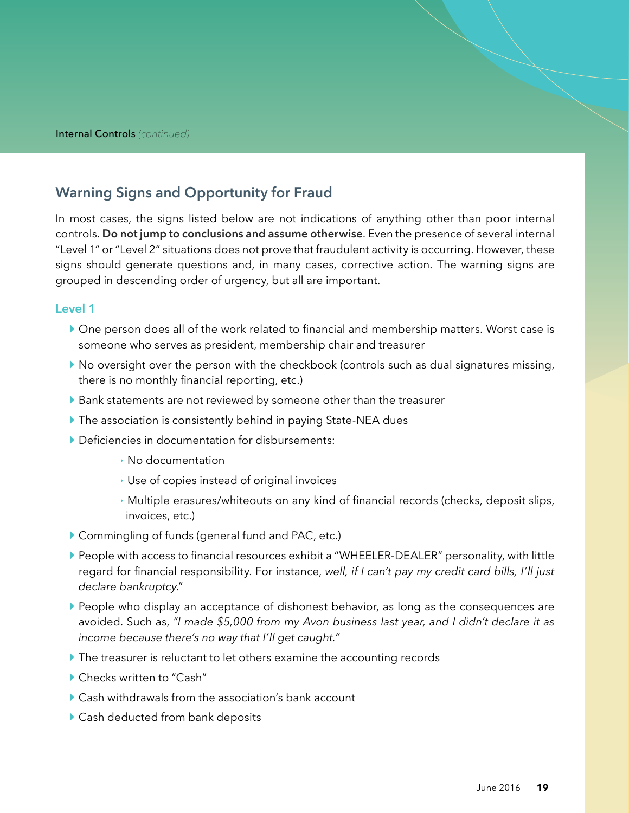# **Warning Signs and Opportunity for Fraud**

In most cases, the signs listed below are not indications of anything other than poor internal controls. **Do not jump to conclusions and assume otherwise**. Even the presence of several internal "Level 1" or "Level 2" situations does not prove that fraudulent activity is occurring. However, these signs should generate questions and, in many cases, corrective action. The warning signs are grouped in descending order of urgency, but all are important.

#### **Level 1**

- ▶ One person does all of the work related to financial and membership matters. Worst case is someone who serves as president, membership chair and treasurer
- $\blacktriangleright$  No oversight over the person with the checkbook (controls such as dual signatures missing, there is no monthly financial reporting, etc.)
- **•** Bank statements are not reviewed by someone other than the treasurer
- The association is consistently behind in paying State-NEA dues
- ``  Deficiencies in documentation for disbursements:
	- **No documentation**
	- ▸ Use of copies instead of original invoices
	- $\rightarrow$  Multiple erasures/whiteouts on any kind of financial records (checks, deposit slips, invoices, etc.)
- $\blacktriangleright$  Commingling of funds (general fund and PAC, etc.)
- **•** People with access to financial resources exhibit a "WHEELER-DEALER" personality, with little regard for financial responsibility. For instance, *well, if I can't pay my credit card bills, I'll just declare bankruptcy*."
- ▶ People who display an acceptance of dishonest behavior, as long as the consequences are avoided. Such as, *"I made \$5,000 from my Avon business last year, and I didn't declare it as income because there's no way that I'll get caught."*
- If The treasurer is reluctant to let others examine the accounting records
- $\blacktriangleright$  Checks written to "Cash"
- $\triangleright$  Cash withdrawals from the association's bank account
- $\blacktriangleright$  Cash deducted from bank deposits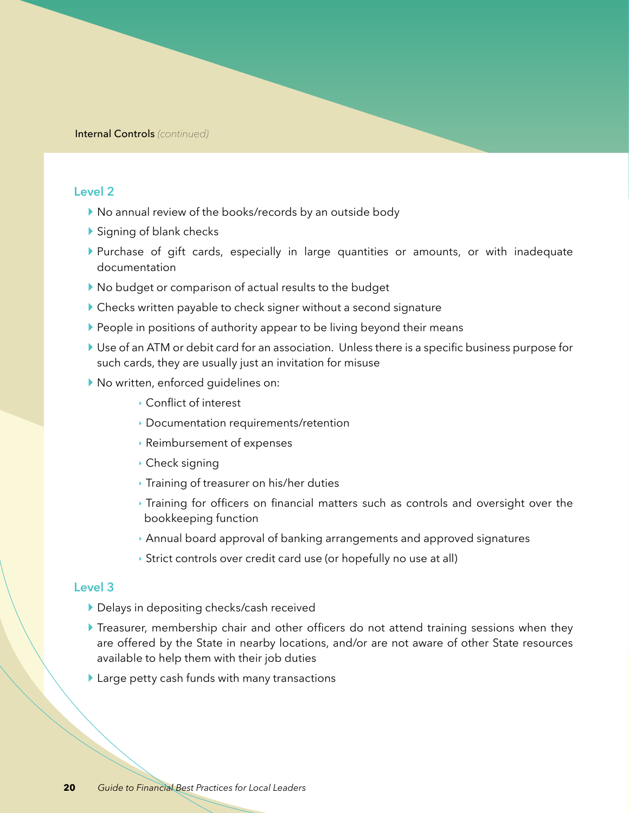#### **Level 2**

- ▶ No annual review of the books/records by an outside body
- ▶ Signing of blank checks
- Purchase of gift cards, especially in large quantities or amounts, or with inadequate documentation
- ``  No budget or comparison of actual results to the budget
- Checks written payable to check signer without a second signature
- People in positions of authority appear to be living beyond their means
- ▶ Use of an ATM or debit card for an association. Unless there is a specific business purpose for such cards, they are usually just an invitation for misuse
- $\blacktriangleright$  No written, enforced guidelines on:
	- ▸ Conflict of interest
	- **Documentation requirements/retention**
	- **Reimbursement of expenses**
	- **Check** signing
	- $\rightarrow$  Training of treasurer on his/her duties
	- $\rightarrow$  Training for officers on financial matters such as controls and oversight over the bookkeeping function
	- $\rightarrow$  Annual board approval of banking arrangements and approved signatures
	- ▶ Strict controls over credit card use (or hopefully no use at all)

#### **Level 3**

- ▶ Delays in depositing checks/cash received
- $\blacktriangleright$  Treasurer, membership chair and other officers do not attend training sessions when they are offered by the State in nearby locations, and/or are not aware of other State resources available to help them with their job duties
- $\blacktriangleright$  Large petty cash funds with many transactions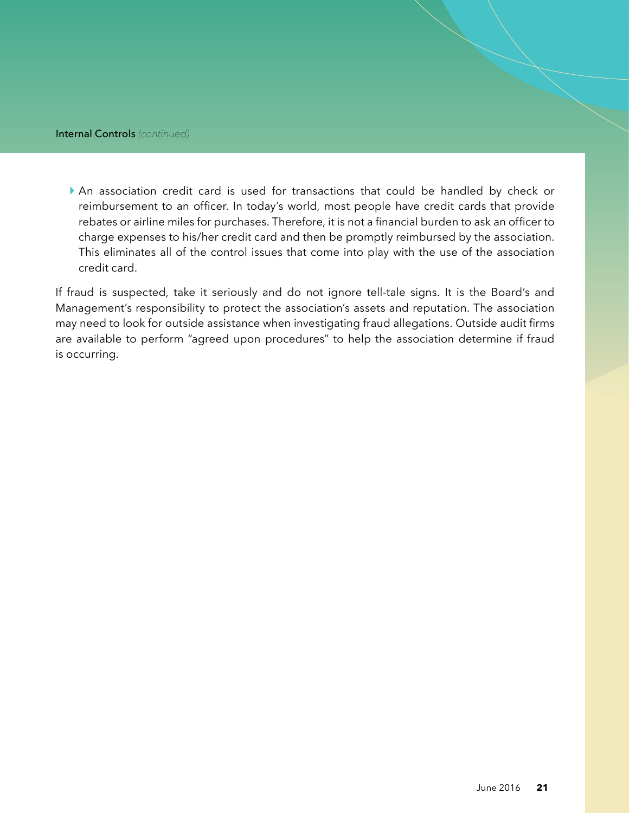I An association credit card is used for transactions that could be handled by check or reimbursement to an officer. In today's world, most people have credit cards that provide rebates or airline miles for purchases. Therefore, it is not a financial burden to ask an officer to charge expenses to his/her credit card and then be promptly reimbursed by the association. This eliminates all of the control issues that come into play with the use of the association credit card.

If fraud is suspected, take it seriously and do not ignore tell-tale signs. It is the Board's and Management's responsibility to protect the association's assets and reputation. The association may need to look for outside assistance when investigating fraud allegations. Outside audit firms are available to perform "agreed upon procedures" to help the association determine if fraud is occurring.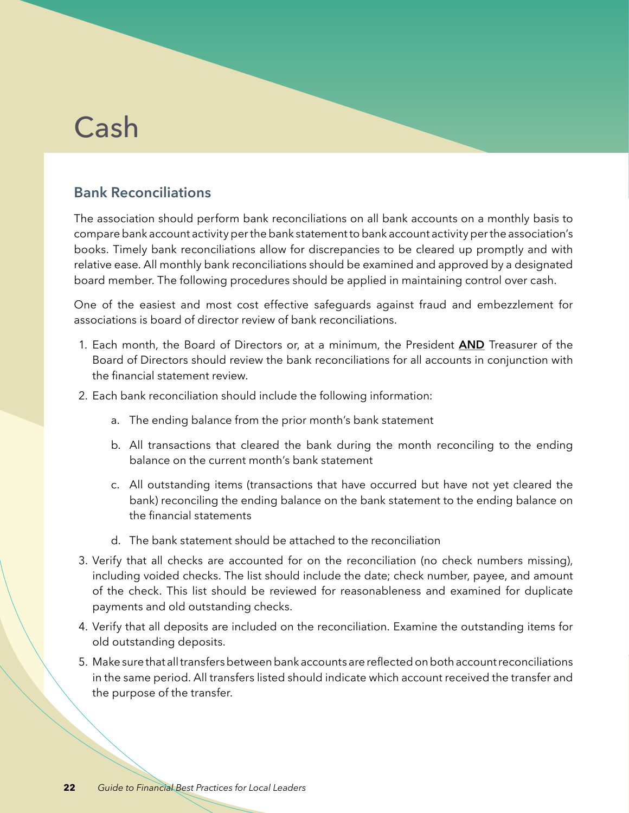# Cash

# **Bank Reconciliations**

The association should perform bank reconciliations on all bank accounts on a monthly basis to compare bank account activity per the bank statement to bank account activity per the association's books. Timely bank reconciliations allow for discrepancies to be cleared up promptly and with relative ease. All monthly bank reconciliations should be examined and approved by a designated board member. The following procedures should be applied in maintaining control over cash.

One of the easiest and most cost effective safeguards against fraud and embezzlement for associations is board of director review of bank reconciliations.

- 1. Each month, the Board of Directors or, at a minimum, the President **AND** Treasurer of the Board of Directors should review the bank reconciliations for all accounts in conjunction with the financial statement review.
- 2. Each bank reconciliation should include the following information:
	- a. The ending balance from the prior month's bank statement
	- b. All transactions that cleared the bank during the month reconciling to the ending balance on the current month's bank statement
	- c. All outstanding items (transactions that have occurred but have not yet cleared the bank) reconciling the ending balance on the bank statement to the ending balance on the financial statements
	- d. The bank statement should be attached to the reconciliation
- 3. Verify that all checks are accounted for on the reconciliation (no check numbers missing), including voided checks. The list should include the date; check number, payee, and amount of the check. This list should be reviewed for reasonableness and examined for duplicate payments and old outstanding checks.
- 4. Verify that all deposits are included on the reconciliation. Examine the outstanding items for old outstanding deposits.
- 5. Make sure that all transfers between bank accounts are reflected on both account reconciliations in the same period. All transfers listed should indicate which account received the transfer and the purpose of the transfer.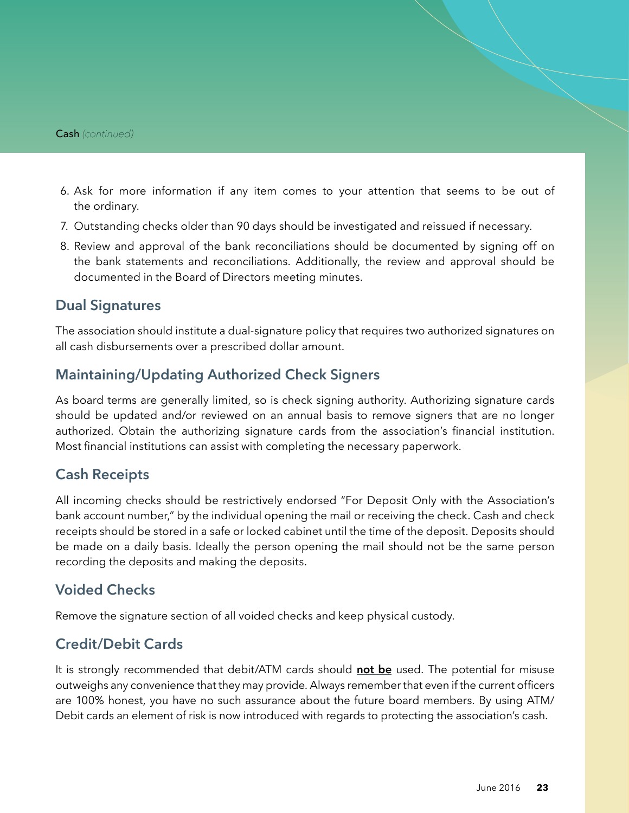- 6. Ask for more information if any item comes to your attention that seems to be out of the ordinary.
- 7. Outstanding checks older than 90 days should be investigated and reissued if necessary.
- 8. Review and approval of the bank reconciliations should be documented by signing off on the bank statements and reconciliations. Additionally, the review and approval should be documented in the Board of Directors meeting minutes.

### **Dual Signatures**

The association should institute a dual-signature policy that requires two authorized signatures on all cash disbursements over a prescribed dollar amount.

# **Maintaining/Updating Authorized Check Signers**

As board terms are generally limited, so is check signing authority. Authorizing signature cards should be updated and/or reviewed on an annual basis to remove signers that are no longer authorized. Obtain the authorizing signature cards from the association's financial institution. Most financial institutions can assist with completing the necessary paperwork.

# **Cash Receipts**

All incoming checks should be restrictively endorsed "For Deposit Only with the Association's bank account number," by the individual opening the mail or receiving the check. Cash and check receipts should be stored in a safe or locked cabinet until the time of the deposit. Deposits should be made on a daily basis. Ideally the person opening the mail should not be the same person recording the deposits and making the deposits.

# **Voided Checks**

Remove the signature section of all voided checks and keep physical custody.

# **Credit/Debit Cards**

It is strongly recommended that debit/ATM cards should **not be** used. The potential for misuse outweighs any convenience that they may provide. Always remember that even if the current officers are 100% honest, you have no such assurance about the future board members. By using ATM/ Debit cards an element of risk is now introduced with regards to protecting the association's cash.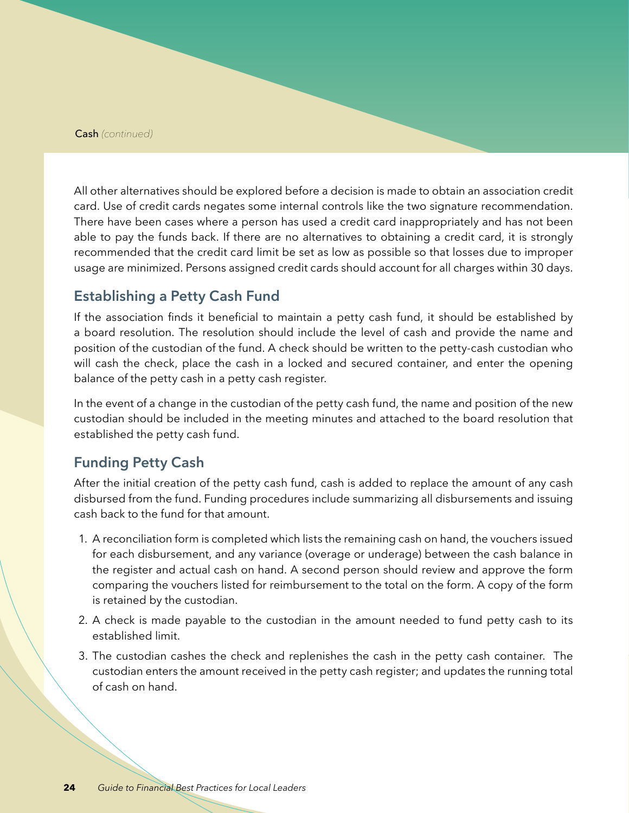All other alternatives should be explored before a decision is made to obtain an association credit card. Use of credit cards negates some internal controls like the two signature recommendation. There have been cases where a person has used a credit card inappropriately and has not been able to pay the funds back. If there are no alternatives to obtaining a credit card, it is strongly recommended that the credit card limit be set as low as possible so that losses due to improper usage are minimized. Persons assigned credit cards should account for all charges within 30 days.

### **Establishing a Petty Cash Fund**

If the association finds it beneficial to maintain a petty cash fund, it should be established by a board resolution. The resolution should include the level of cash and provide the name and position of the custodian of the fund. A check should be written to the petty-cash custodian who will cash the check, place the cash in a locked and secured container, and enter the opening balance of the petty cash in a petty cash register.

In the event of a change in the custodian of the petty cash fund, the name and position of the new custodian should be included in the meeting minutes and attached to the board resolution that established the petty cash fund.

### **Funding Petty Cash**

After the initial creation of the petty cash fund, cash is added to replace the amount of any cash disbursed from the fund. Funding procedures include summarizing all disbursements and issuing cash back to the fund for that amount.

- 1. A reconciliation form is completed which lists the remaining cash on hand, the vouchers issued for each disbursement, and any variance (overage or underage) between the cash balance in the register and actual cash on hand. A second person should review and approve the form comparing the vouchers listed for reimbursement to the total on the form. A copy of the form is retained by the custodian.
- 2. A check is made payable to the custodian in the amount needed to fund petty cash to its established limit.
- 3. The custodian cashes the check and replenishes the cash in the petty cash container. The custodian enters the amount received in the petty cash register; and updates the running total of cash on hand.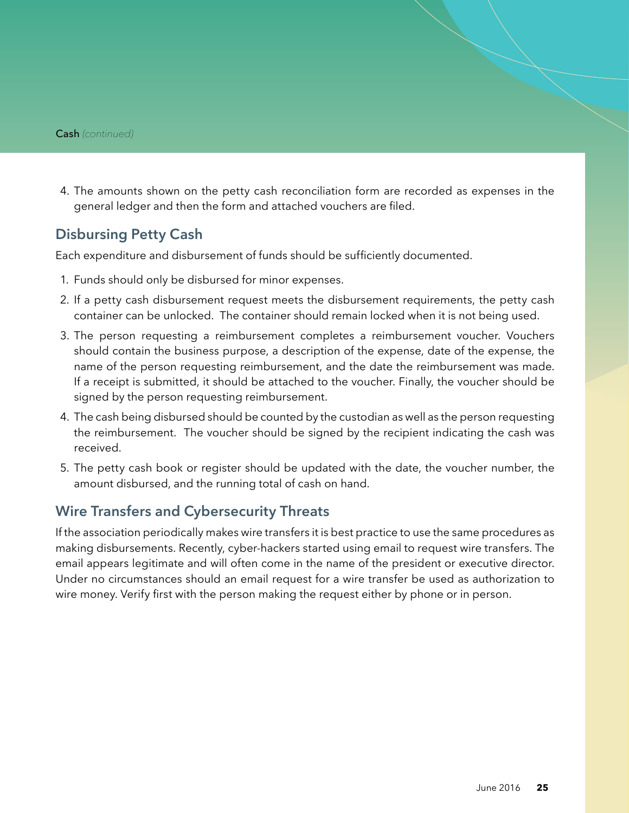4. The amounts shown on the petty cash reconciliation form are recorded as expenses in the general ledger and then the form and attached vouchers are filed.

# **Disbursing Petty Cash**

Each expenditure and disbursement of funds should be sufficiently documented.

- 1. Funds should only be disbursed for minor expenses.
- 2. If a petty cash disbursement request meets the disbursement requirements, the petty cash container can be unlocked. The container should remain locked when it is not being used.
- 3. The person requesting a reimbursement completes a reimbursement voucher. Vouchers should contain the business purpose, a description of the expense, date of the expense, the name of the person requesting reimbursement, and the date the reimbursement was made. If a receipt is submitted, it should be attached to the voucher. Finally, the voucher should be signed by the person requesting reimbursement.
- 4. The cash being disbursed should be counted by the custodian as well as the person requesting the reimbursement. The voucher should be signed by the recipient indicating the cash was received.
- 5. The petty cash book or register should be updated with the date, the voucher number, the amount disbursed, and the running total of cash on hand.

# **Wire Transfers and Cybersecurity Threats**

If the association periodically makes wire transfers it is best practice to use the same procedures as making disbursements. Recently, cyber-hackers started using email to request wire transfers. The email appears legitimate and will often come in the name of the president or executive director. Under no circumstances should an email request for a wire transfer be used as authorization to wire money. Verify first with the person making the request either by phone or in person.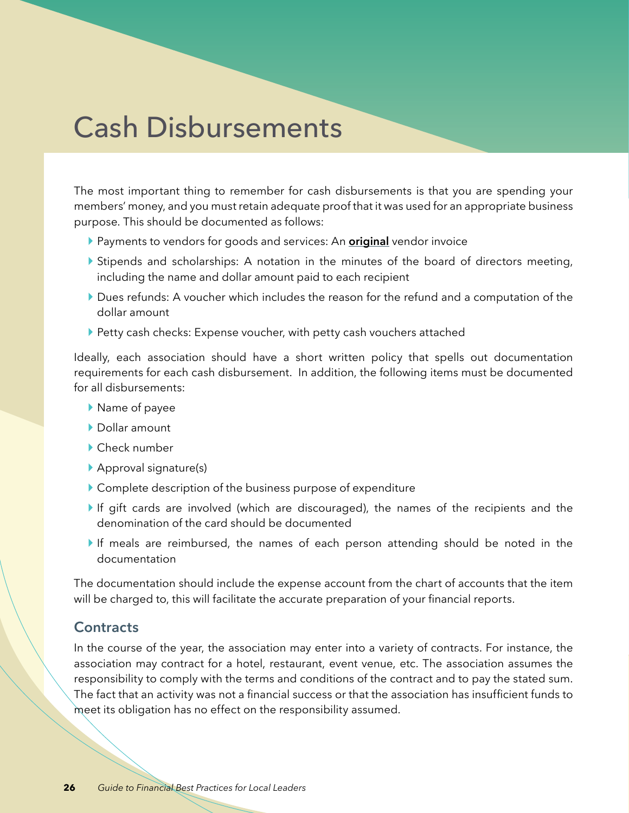# Cash Disbursements

The most important thing to remember for cash disbursements is that you are spending your members' money, and you must retain adequate proof that it was used for an appropriate business purpose. This should be documented as follows:

- **•** Payments to vendors for goods and services: An **original** vendor invoice
- If Stipends and scholarships: A notation in the minutes of the board of directors meeting, including the name and dollar amount paid to each recipient
- $\blacktriangleright$  Dues refunds: A voucher which includes the reason for the refund and a computation of the dollar amount
- Petty cash checks: Expense voucher, with petty cash vouchers attached

Ideally, each association should have a short written policy that spells out documentation requirements for each cash disbursement. In addition, the following items must be documented for all disbursements:

- ``  Name of payee
- ``  Dollar amount
- ``  Check number
- **•** Approval signature(s)
- $\blacktriangleright$  Complete description of the business purpose of expenditure
- If gift cards are involved (which are discouraged), the names of the recipients and the denomination of the card should be documented
- If meals are reimbursed, the names of each person attending should be noted in the documentation

The documentation should include the expense account from the chart of accounts that the item will be charged to, this will facilitate the accurate preparation of your financial reports.

# **Contracts**

In the course of the year, the association may enter into a variety of contracts. For instance, the association may contract for a hotel, restaurant, event venue, etc. The association assumes the responsibility to comply with the terms and conditions of the contract and to pay the stated sum. The fact that an activity was not a financial success or that the association has insufficient funds to meet its obligation has no effect on the responsibility assumed.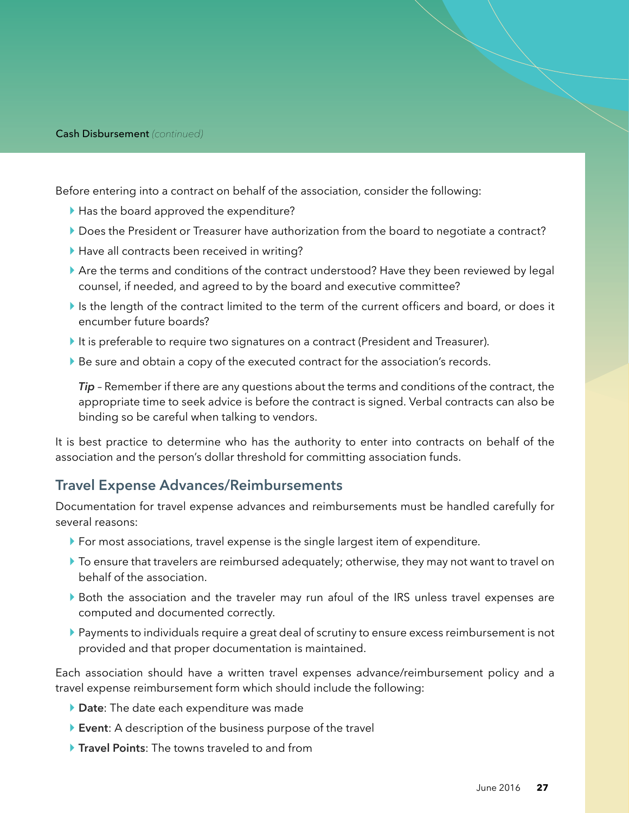Before entering into a contract on behalf of the association, consider the following:

- ▶ Has the board approved the expenditure?
- **•** Does the President or Treasurer have authorization from the board to negotiate a contract?
- If Have all contracts been received in writing?
- ▶ Are the terms and conditions of the contract understood? Have they been reviewed by legal counsel, if needed, and agreed to by the board and executive committee?
- $\blacktriangleright$  Is the length of the contract limited to the term of the current officers and board, or does it encumber future boards?
- It is preferable to require two signatures on a contract (President and Treasurer).
- ▶ Be sure and obtain a copy of the executed contract for the association's records.

*Tip* – Remember if there are any questions about the terms and conditions of the contract, the appropriate time to seek advice is before the contract is signed. Verbal contracts can also be binding so be careful when talking to vendors.

It is best practice to determine who has the authority to enter into contracts on behalf of the association and the person's dollar threshold for committing association funds.

# **Travel Expense Advances/Reimbursements**

Documentation for travel expense advances and reimbursements must be handled carefully for several reasons:

- ▶ For most associations, travel expense is the single largest item of expenditure.
- $\blacktriangleright$  To ensure that travelers are reimbursed adequately; otherwise, they may not want to travel on behalf of the association.
- ▶ Both the association and the traveler may run afoul of the IRS unless travel expenses are computed and documented correctly.
- **•** Payments to individuals require a great deal of scrutiny to ensure excess reimbursement is not provided and that proper documentation is maintained.

Each association should have a written travel expenses advance/reimbursement policy and a travel expense reimbursement form which should include the following:

- **Date**: The date each expenditure was made
- **Event:** A description of the business purpose of the travel
- **Travel Points:** The towns traveled to and from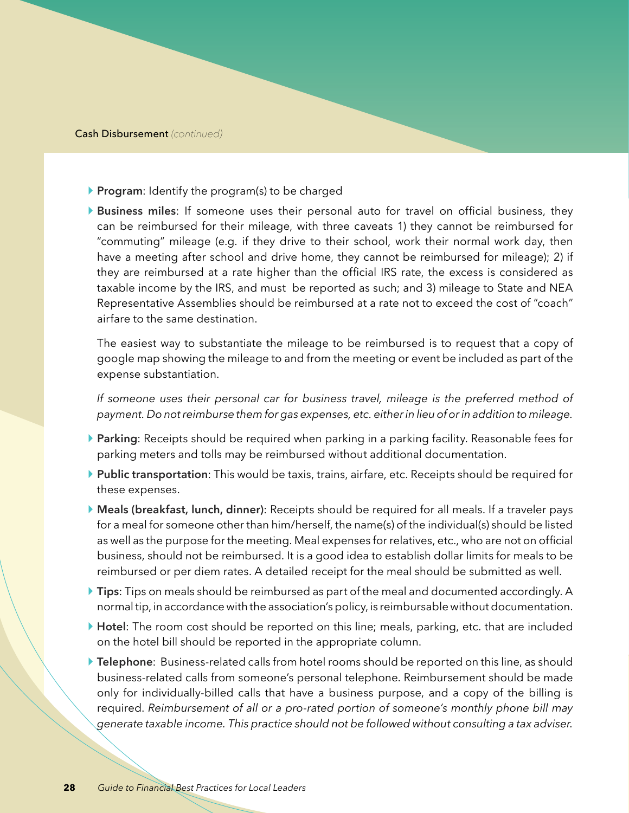- **Program:** Identify the program(s) to be charged
- **Eusiness miles**: If someone uses their personal auto for travel on official business, they can be reimbursed for their mileage, with three caveats 1) they cannot be reimbursed for "commuting" mileage (e.g. if they drive to their school, work their normal work day, then have a meeting after school and drive home, they cannot be reimbursed for mileage); 2) if they are reimbursed at a rate higher than the official IRS rate, the excess is considered as taxable income by the IRS, and must be reported as such; and 3) mileage to State and NEA Representative Assemblies should be reimbursed at a rate not to exceed the cost of "coach" airfare to the same destination.

The easiest way to substantiate the mileage to be reimbursed is to request that a copy of google map showing the mileage to and from the meeting or event be included as part of the expense substantiation.

*If someone uses their personal car for business travel, mileage is the preferred method of payment. Do not reimburse them for gas expenses, etc. either in lieu of or in addition to mileage.*

- ▶ Parking: Receipts should be required when parking in a parking facility. Reasonable fees for parking meters and tolls may be reimbursed without additional documentation.
- **Public transportation**: This would be taxis, trains, airfare, etc. Receipts should be required for these expenses.
- ``  **Meals (breakfast, lunch, dinner)**: Receipts should be required for all meals. If a traveler pays for a meal for someone other than him/herself, the name(s) of the individual(s) should be listed as well as the purpose for the meeting. Meal expenses for relatives, etc., who are not on official business, should not be reimbursed. It is a good idea to establish dollar limits for meals to be reimbursed or per diem rates. A detailed receipt for the meal should be submitted as well.
- **Tips**: Tips on meals should be reimbursed as part of the meal and documented accordingly. A normal tip, in accordance with the association's policy, is reimbursable without documentation.
- **Hotel**: The room cost should be reported on this line; meals, parking, etc. that are included on the hotel bill should be reported in the appropriate column.
- **Telephone**: Business-related calls from hotel rooms should be reported on this line, as should business-related calls from someone's personal telephone. Reimbursement should be made only for individually-billed calls that have a business purpose, and a copy of the billing is required. *Reimbursement of all or a pro-rated portion of someone's monthly phone bill may generate taxable income. This practice should not be followed without consulting a tax adviser.*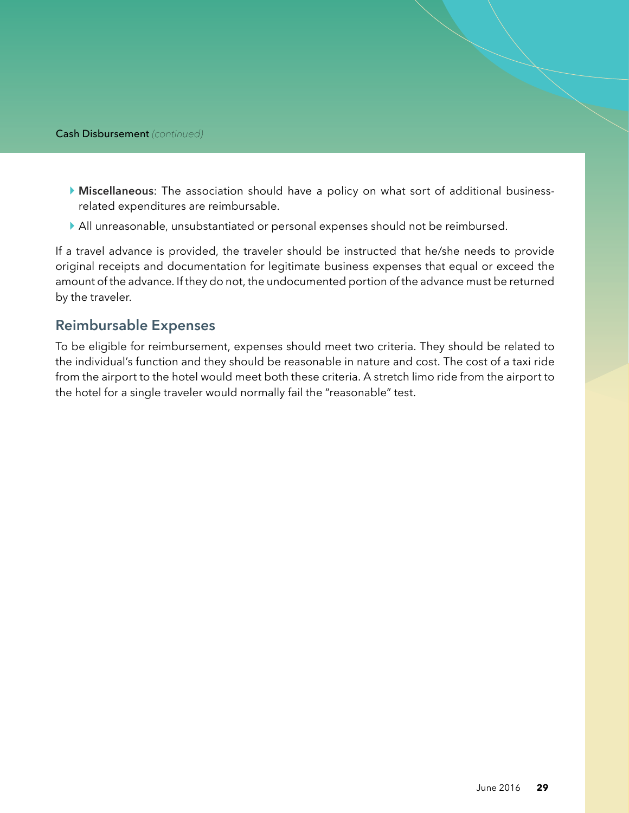- **Miscellaneous**: The association should have a policy on what sort of additional businessrelated expenditures are reimbursable.
- ``  All unreasonable, unsubstantiated or personal expenses should not be reimbursed.

If a travel advance is provided, the traveler should be instructed that he/she needs to provide original receipts and documentation for legitimate business expenses that equal or exceed the amount of the advance. If they do not, the undocumented portion of the advance must be returned by the traveler.

#### **Reimbursable Expenses**

To be eligible for reimbursement, expenses should meet two criteria. They should be related to the individual's function and they should be reasonable in nature and cost. The cost of a taxi ride from the airport to the hotel would meet both these criteria. A stretch limo ride from the airport to the hotel for a single traveler would normally fail the "reasonable" test.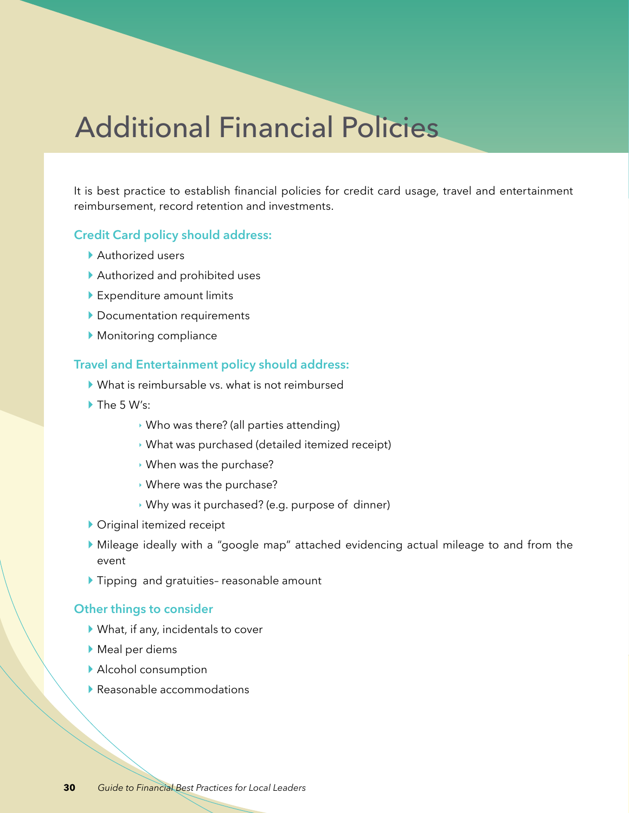# Additional Financial Policies

It is best practice to establish financial policies for credit card usage, travel and entertainment reimbursement, record retention and investments.

#### **Credit Card policy should address:**

- ▶ Authorized users
- ▶ Authorized and prohibited uses
- ▶ Expenditure amount limits
- **Documentation requirements**
- **Monitoring compliance**

#### **Travel and Entertainment policy should address:**

- ▶ What is reimbursable vs. what is not reimbursed
- $\blacktriangleright$  The 5 W's:
	- $\rightarrow$  Who was there? (all parties attending)
	- $\rightarrow$  What was purchased (detailed itemized receipt)
	- $\cdot$  When was the purchase?
	- **Where** was the purchase?
	- ▶ Why was it purchased? (e.g. purpose of dinner)
- $\blacktriangleright$  Original itemized receipt
- ``  Mileage ideally with a "google map" attached evidencing actual mileage to and from the event
- **Tipping and gratuities- reasonable amount**

#### **Other things to consider**

- ▶ What, if any, incidentals to cover
- **Meal per diems**
- **Alcohol consumption**
- ▶ Reasonable accommodations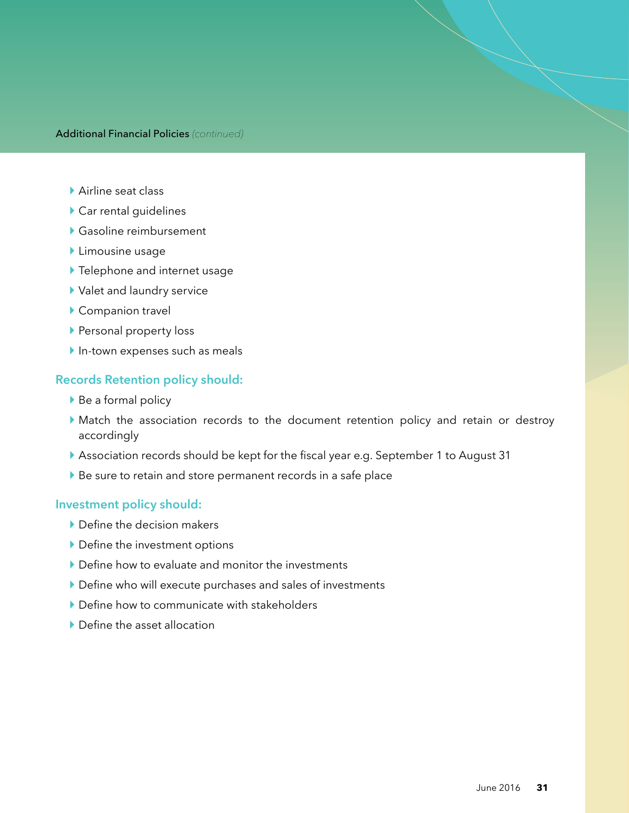#### Additional Financial Policies *(continued)*

- **Airline seat class**
- **Car rental guidelines**
- **Sasoline reimbursement**
- **Limousine usage**
- **Telephone and internet usage**
- ``  Valet and laundry service
- $\blacktriangleright$  Companion travel
- **Personal property loss**
- In-town expenses such as meals

#### **Records Retention policy should:**

- ▶ Be a formal policy
- Match the association records to the document retention policy and retain or destroy accordingly
- **Association records should be kept for the fiscal year e.g. September 1 to August 31**
- ▶ Be sure to retain and store permanent records in a safe place

#### **Investment policy should:**

- ▶ Define the decision makers
- **•** Define the investment options
- ▶ Define how to evaluate and monitor the investments
- **•** Define who will execute purchases and sales of investments
- ▶ Define how to communicate with stakeholders
- ▶ Define the asset allocation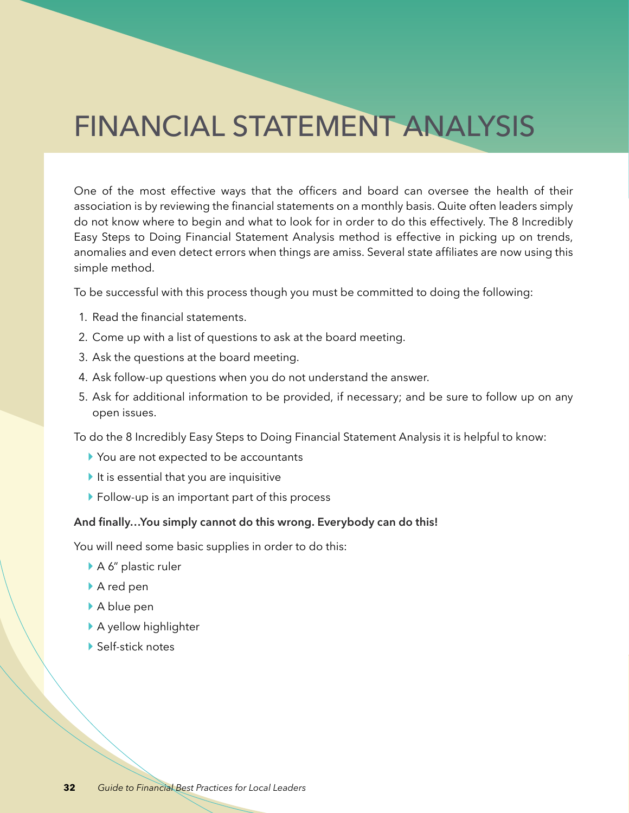# FINANCIAL STATEMENT ANALYSIS

One of the most effective ways that the officers and board can oversee the health of their association is by reviewing the financial statements on a monthly basis. Quite often leaders simply do not know where to begin and what to look for in order to do this effectively. The 8 Incredibly Easy Steps to Doing Financial Statement Analysis method is effective in picking up on trends, anomalies and even detect errors when things are amiss. Several state affiliates are now using this simple method.

To be successful with this process though you must be committed to doing the following:

- 1. Read the financial statements.
- 2. Come up with a list of questions to ask at the board meeting.
- 3. Ask the questions at the board meeting.
- 4. Ask follow-up questions when you do not understand the answer.
- 5. Ask for additional information to be provided, if necessary; and be sure to follow up on any open issues.

To do the 8 Incredibly Easy Steps to Doing Financial Statement Analysis it is helpful to know:

- ▶ You are not expected to be accountants
- $\blacktriangleright$  It is essential that you are inquisitive
- **•** Follow-up is an important part of this process

#### **And finally…You simply cannot do this wrong. Everybody can do this!**

You will need some basic supplies in order to do this:

- ▶ A 6" plastic ruler
- ▶ A red pen
- ▶ A blue pen
- ▶ A yellow highlighter
- ``  Self-stick notes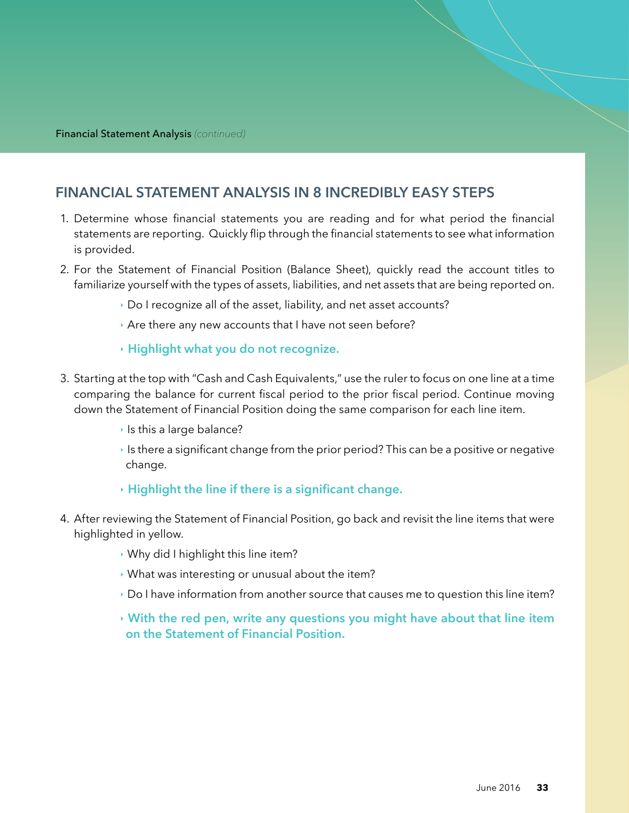# **FINANCIAL STATEMENT ANALYSIS IN 8 INCREDIBLY EASY STEPS**

- 1. Determine whose financial statements you are reading and for what period the financial statements are reporting. Quickly flip through the financial statements to see what information is provided.
- 2. For the Statement of Financial Position (Balance Sheet), quickly read the account titles to familiarize yourself with the types of assets, liabilities, and net assets that are being reported on.
	- ▶ Do I recognize all of the asset, liability, and net asset accounts?
	- $\rightarrow$  Are there any new accounts that I have not seen before?
	- **E** Highlight what you do not recognize.
- 3. Starting at the top with "Cash and Cash Equivalents," use the ruler to focus on one line at a time comparing the balance for current fiscal period to the prior fiscal period. Continue moving down the Statement of Financial Position doing the same comparison for each line item.
	- $\cdot$  Is this a large balance?
	- $\rightarrow$  Is there a significant change from the prior period? This can be a positive or negative change.
	- **E** Highlight the line if there is a significant change.
- 4. After reviewing the Statement of Financial Position, go back and revisit the line items that were highlighted in yellow.
	- If Why did I highlight this line item?
	- $\rightarrow$  What was interesting or unusual about the item?
	- In Do I have information from another source that causes me to question this line item?
	- **E** With the red pen, write any questions you might have about that line item **on the Statement of Financial Position.**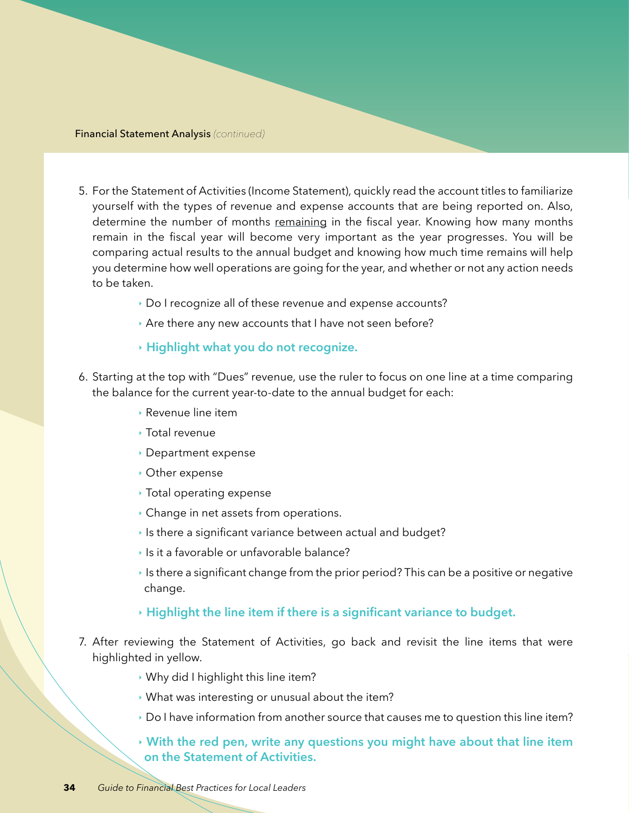Financial Statement Analysis *(continued)*

- 5. For the Statement of Activities (Income Statement), quickly read the account titles to familiarize yourself with the types of revenue and expense accounts that are being reported on. Also, determine the number of months remaining in the fiscal year. Knowing how many months remain in the fiscal year will become very important as the year progresses. You will be comparing actual results to the annual budget and knowing how much time remains will help you determine how well operations are going for the year, and whether or not any action needs to be taken.
	- ▶ Do I recognize all of these revenue and expense accounts?
	- $\rightarrow$  Are there any new accounts that I have not seen before?
	- **E** Highlight what you do not recognize.
- 6. Starting at the top with "Dues" revenue, use the ruler to focus on one line at a time comparing the balance for the current year-to-date to the annual budget for each:
	- **Revenue line item**
	- **Total revenue**
	- **Department expense**
	- **•** Other expense
	- **Total operating expense**
	- $\rightarrow$  Change in net assets from operations.
	- $\cdot$  Is there a significant variance between actual and budget?
	- $\cdot$  Is it a favorable or unfavorable balance?
	- $\rightarrow$  Is there a significant change from the prior period? This can be a positive or negative change.
	- **E** Highlight the line item if there is a significant variance to budget.
- 7. After reviewing the Statement of Activities, go back and revisit the line items that were highlighted in yellow.
	- If Why did I highlight this line item?
	- $\rightarrow$  What was interesting or unusual about the item?
	- $\rightarrow$  Do I have information from another source that causes me to question this line item?
	- **I** With the red pen, write any questions you might have about that line item **on the Statement of Activities.**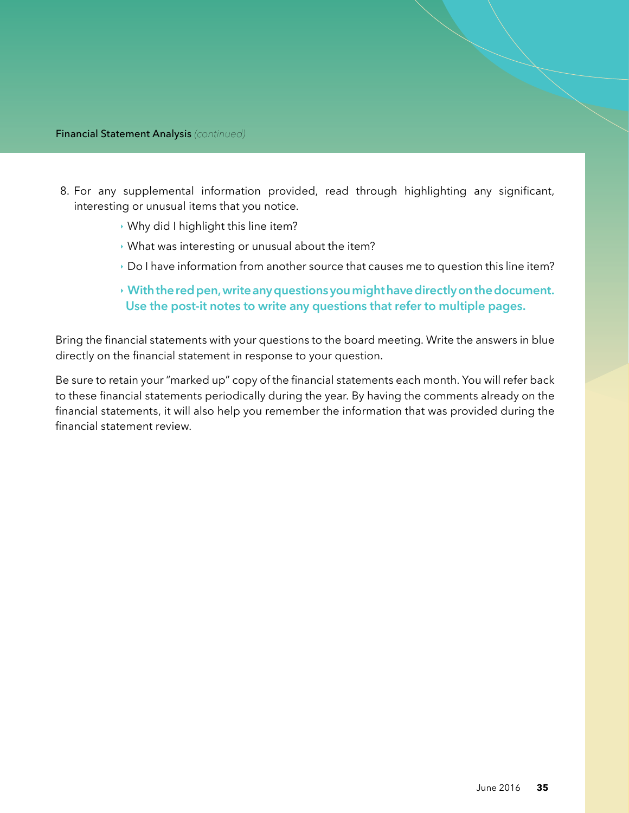- 8. For any supplemental information provided, read through highlighting any significant, interesting or unusual items that you notice.
	- If Why did I highlight this line item?
	- $\rightarrow$  What was interesting or unusual about the item?
	- $\rightarrow$  Do I have information from another source that causes me to question this line item?
	- **E** With the red pen, write any questions you might have directly on the document. **Use the post-it notes to write any questions that refer to multiple pages.**

Bring the financial statements with your questions to the board meeting. Write the answers in blue directly on the financial statement in response to your question.

Be sure to retain your "marked up" copy of the financial statements each month. You will refer back to these financial statements periodically during the year. By having the comments already on the financial statements, it will also help you remember the information that was provided during the financial statement review.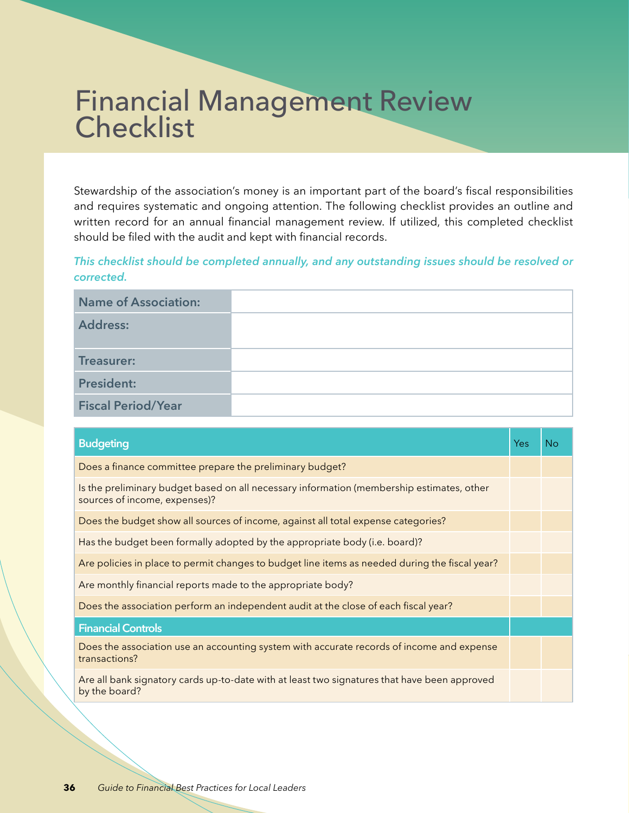# Financial Management Review **Checklist**

Stewardship of the association's money is an important part of the board's fiscal responsibilities and requires systematic and ongoing attention. The following checklist provides an outline and written record for an annual financial management review. If utilized, this completed checklist should be filed with the audit and kept with financial records.

*This checklist should be completed annually, and any outstanding issues should be resolved or corrected.*

| <b>Name of Association:</b> |  |
|-----------------------------|--|
| <b>Address:</b>             |  |
| <b>Treasurer:</b>           |  |
| <b>President:</b>           |  |
| <b>Fiscal Period/Year</b>   |  |

| <b>Budgeting</b>                                                                                                           | Yes | No |
|----------------------------------------------------------------------------------------------------------------------------|-----|----|
| Does a finance committee prepare the preliminary budget?                                                                   |     |    |
| Is the preliminary budget based on all necessary information (membership estimates, other<br>sources of income, expenses)? |     |    |
| Does the budget show all sources of income, against all total expense categories?                                          |     |    |
| Has the budget been formally adopted by the appropriate body (i.e. board)?                                                 |     |    |
| Are policies in place to permit changes to budget line items as needed during the fiscal year?                             |     |    |
| Are monthly financial reports made to the appropriate body?                                                                |     |    |
| Does the association perform an independent audit at the close of each fiscal year?                                        |     |    |
| <b>Financial Controls</b>                                                                                                  |     |    |
| Does the association use an accounting system with accurate records of income and expense<br>transactions?                 |     |    |
| Are all bank signatory cards up-to-date with at least two signatures that have been approved<br>by the board?              |     |    |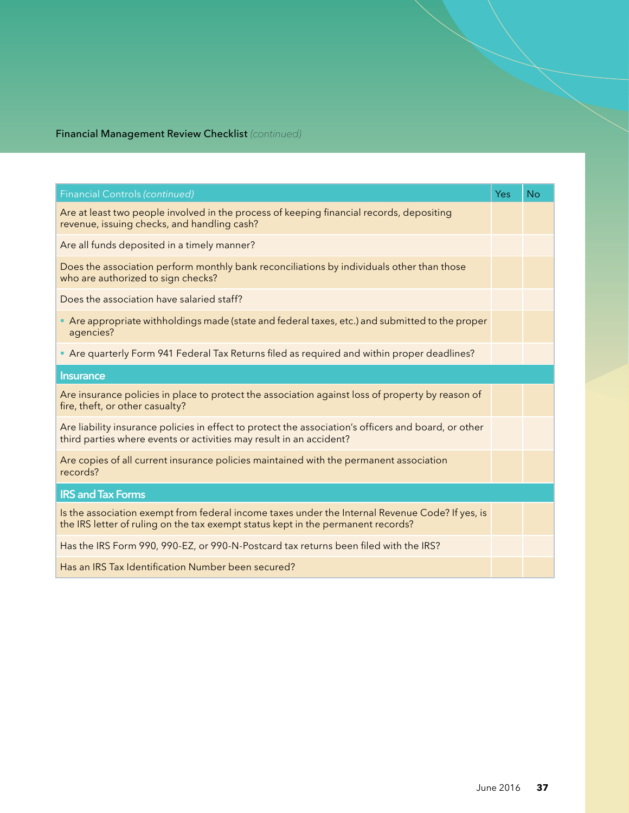#### Financial Management Review Checklist *(continued)*

| <b>Financial Controls (continued)</b>                                                                                                                                               | Yes | <b>No</b> |
|-------------------------------------------------------------------------------------------------------------------------------------------------------------------------------------|-----|-----------|
| Are at least two people involved in the process of keeping financial records, depositing<br>revenue, issuing checks, and handling cash?                                             |     |           |
| Are all funds deposited in a timely manner?                                                                                                                                         |     |           |
| Does the association perform monthly bank reconciliations by individuals other than those<br>who are authorized to sign checks?                                                     |     |           |
| Does the association have salaried staff?                                                                                                                                           |     |           |
| Are appropriate withholdings made (state and federal taxes, etc.) and submitted to the proper<br>agencies?                                                                          |     |           |
| " Are quarterly Form 941 Federal Tax Returns filed as required and within proper deadlines?                                                                                         |     |           |
| Insurance                                                                                                                                                                           |     |           |
| Are insurance policies in place to protect the association against loss of property by reason of<br>fire, theft, or other casualty?                                                 |     |           |
| Are liability insurance policies in effect to protect the association's officers and board, or other<br>third parties where events or activities may result in an accident?         |     |           |
| Are copies of all current insurance policies maintained with the permanent association<br>records?                                                                                  |     |           |
| <b>IRS and Tax Forms</b>                                                                                                                                                            |     |           |
| Is the association exempt from federal income taxes under the Internal Revenue Code? If yes, is<br>the IRS letter of ruling on the tax exempt status kept in the permanent records? |     |           |
| Has the IRS Form 990, 990-EZ, or 990-N-Postcard tax returns been filed with the IRS?                                                                                                |     |           |
| Has an IRS Tax Identification Number been secured?                                                                                                                                  |     |           |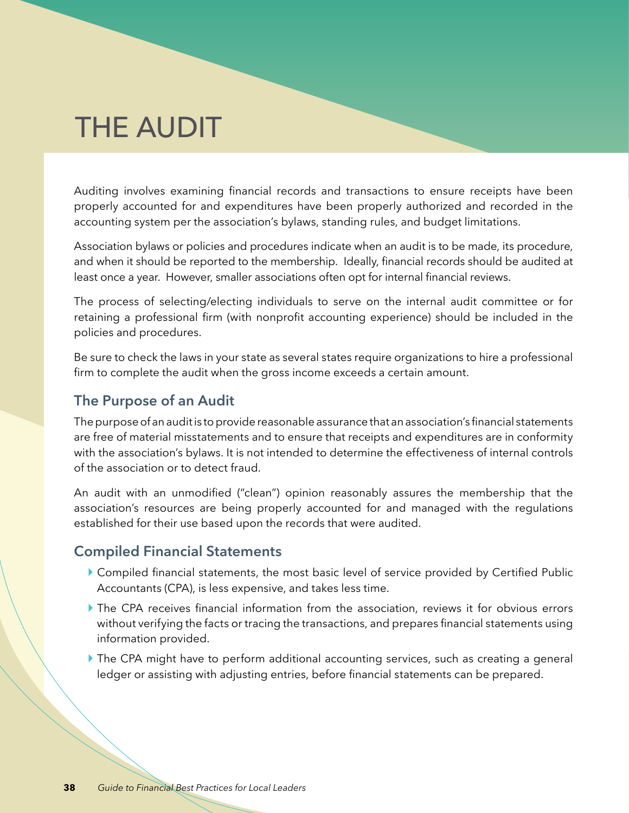# THE AUDIT

Auditing involves examining financial records and transactions to ensure receipts have been properly accounted for and expenditures have been properly authorized and recorded in the accounting system per the association's bylaws, standing rules, and budget limitations.

Association bylaws or policies and procedures indicate when an audit is to be made, its procedure, and when it should be reported to the membership. Ideally, financial records should be audited at least once a year. However, smaller associations often opt for internal financial reviews.

The process of selecting/electing individuals to serve on the internal audit committee or for retaining a professional firm (with nonprofit accounting experience) should be included in the policies and procedures.

Be sure to check the laws in your state as several states require organizations to hire a professional firm to complete the audit when the gross income exceeds a certain amount.

# **The Purpose of an Audit**

The purpose of an audit is to provide reasonable assurance that an association's financial statements are free of material misstatements and to ensure that receipts and expenditures are in conformity with the association's bylaws. It is not intended to determine the effectiveness of internal controls of the association or to detect fraud.

An audit with an unmodified ("clean") opinion reasonably assures the membership that the association's resources are being properly accounted for and managed with the regulations established for their use based upon the records that were audited.

# **Compiled Financial Statements**

- $\blacktriangleright$  Compiled financial statements, the most basic level of service provided by Certified Public Accountants (CPA), is less expensive, and takes less time.
- ▶ The CPA receives financial information from the association, reviews it for obvious errors without verifying the facts or tracing the transactions, and prepares financial statements using information provided.
- ▶ The CPA might have to perform additional accounting services, such as creating a general ledger or assisting with adjusting entries, before financial statements can be prepared.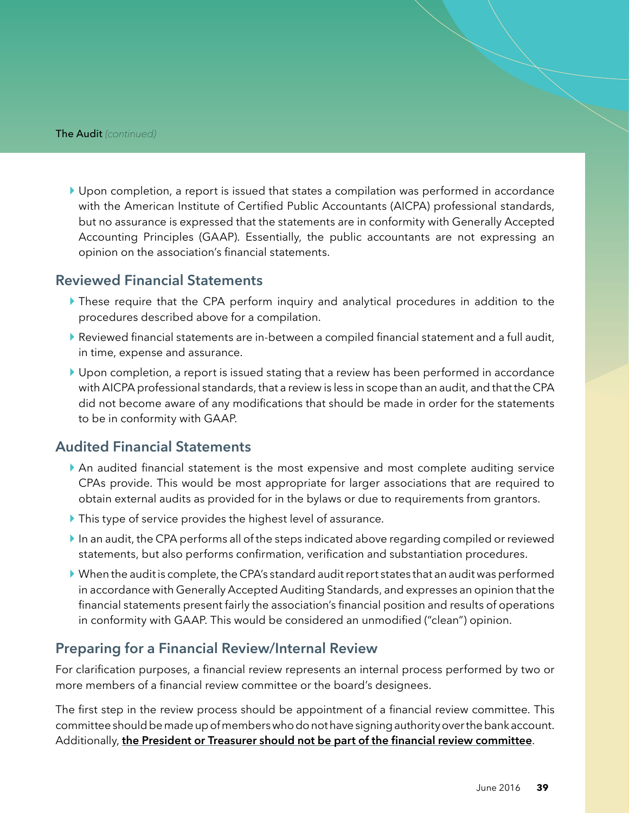#### The Audit *(continued)*

▶ Upon completion, a report is issued that states a compilation was performed in accordance with the American Institute of Certified Public Accountants (AICPA) professional standards, but no assurance is expressed that the statements are in conformity with Generally Accepted Accounting Principles (GAAP). Essentially, the public accountants are not expressing an opinion on the association's financial statements.

#### **Reviewed Financial Statements**

- If These require that the CPA perform inquiry and analytical procedures in addition to the procedures described above for a compilation.
- $\blacktriangleright$  Reviewed financial statements are in-between a compiled financial statement and a full audit, in time, expense and assurance.
- ▶ Upon completion, a report is issued stating that a review has been performed in accordance with AICPA professional standards, that a review is less in scope than an audit, and that the CPA did not become aware of any modifications that should be made in order for the statements to be in conformity with GAAP.

### **Audited Financial Statements**

- ▶ An audited financial statement is the most expensive and most complete auditing service CPAs provide. This would be most appropriate for larger associations that are required to obtain external audits as provided for in the bylaws or due to requirements from grantors.
- If This type of service provides the highest level of assurance.
- $\blacktriangleright$  In an audit, the CPA performs all of the steps indicated above regarding compiled or reviewed statements, but also performs confirmation, verification and substantiation procedures.
- $\blacktriangleright$  When the audit is complete, the CPA's standard audit report states that an audit was performed in accordance with Generally Accepted Auditing Standards, and expresses an opinion that the financial statements present fairly the association's financial position and results of operations in conformity with GAAP. This would be considered an unmodified ("clean") opinion.

### **Preparing for a Financial Review/Internal Review**

For clarification purposes, a financial review represents an internal process performed by two or more members of a financial review committee or the board's designees.

The first step in the review process should be appointment of a financial review committee. This committee should be made up of members who do not have signing authority over the bank account. Additionally, **the President or Treasurer should not be part of the financial review committee**.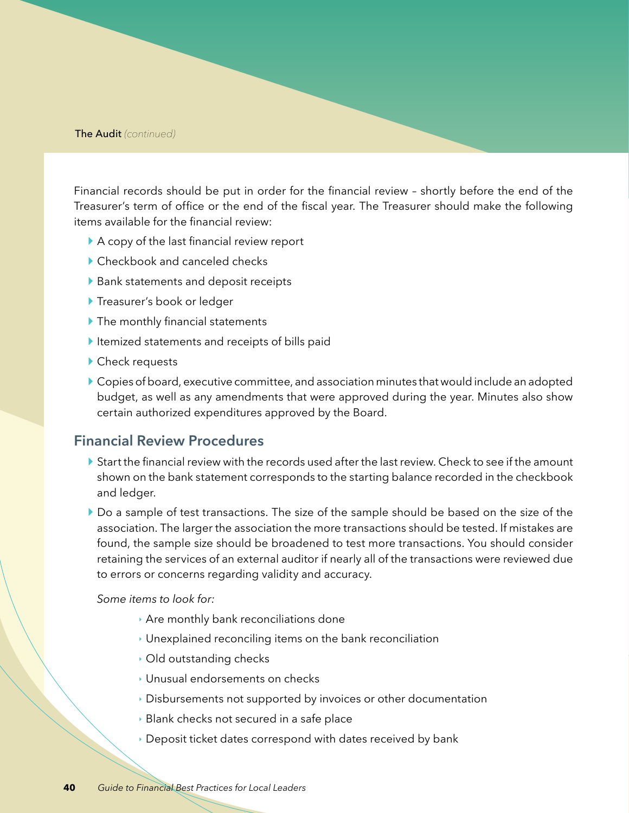The Audit *(continued)*

Financial records should be put in order for the financial review – shortly before the end of the Treasurer's term of office or the end of the fiscal year. The Treasurer should make the following items available for the financial review:

- ▶ A copy of the last financial review report
- Checkbook and canceled checks
- **•** Bank statements and deposit receipts
- **Treasurer's book or ledger**
- $\blacktriangleright$  The monthly financial statements
- $\blacktriangleright$  Itemized statements and receipts of bills paid
- ▶ Check requests
- $\blacktriangleright$  Copies of board, executive committee, and association minutes that would include an adopted budget, as well as any amendments that were approved during the year. Minutes also show certain authorized expenditures approved by the Board.

#### **Financial Review Procedures**

- $\blacktriangleright$  Start the financial review with the records used after the last review. Check to see if the amount shown on the bank statement corresponds to the starting balance recorded in the checkbook and ledger.
- ▶ Do a sample of test transactions. The size of the sample should be based on the size of the association. The larger the association the more transactions should be tested. If mistakes are found, the sample size should be broadened to test more transactions. You should consider retaining the services of an external auditor if nearly all of the transactions were reviewed due to errors or concerns regarding validity and accuracy.

#### *Some items to look for:*

- $\rightarrow$  Are monthly bank reconciliations done
- $\rightarrow$  Unexplained reconciling items on the bank reconciliation
- $\rightarrow$  Old outstanding checks
- **I** Unusual endorsements on checks
- **Disbursements not supported by invoices or other documentation**
- **Blank checks not secured in a safe place**
- $\rightarrow$  Deposit ticket dates correspond with dates received by bank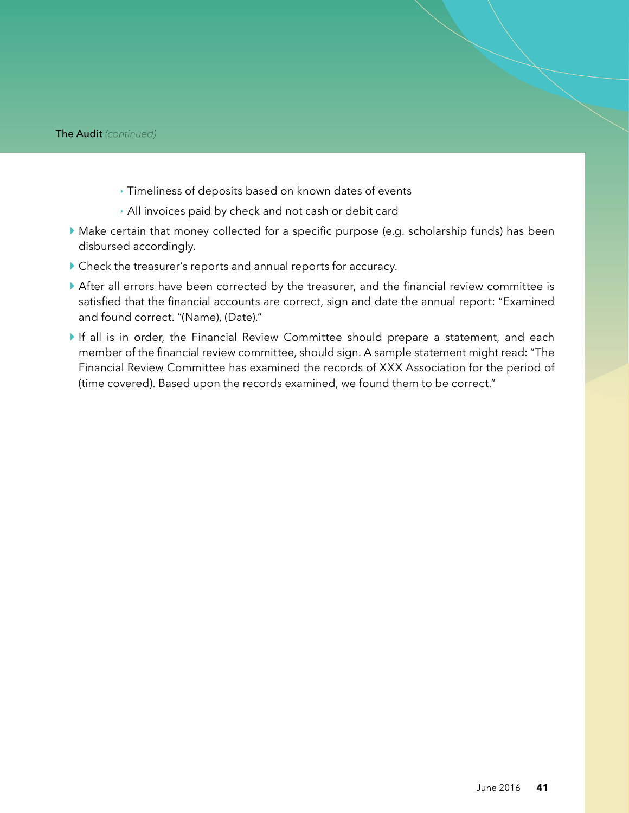- $\rightarrow$  Timeliness of deposits based on known dates of events
- If All invoices paid by check and not cash or debit card
- **•** Make certain that money collected for a specific purpose (e.g. scholarship funds) has been disbursed accordingly.
- $\blacktriangleright$  Check the treasurer's reports and annual reports for accuracy.
- ▶ After all errors have been corrected by the treasurer, and the financial review committee is satisfied that the financial accounts are correct, sign and date the annual report: "Examined and found correct. "(Name), (Date)."
- If all is in order, the Financial Review Committee should prepare a statement, and each member of the financial review committee, should sign. A sample statement might read: "The Financial Review Committee has examined the records of XXX Association for the period of (time covered). Based upon the records examined, we found them to be correct."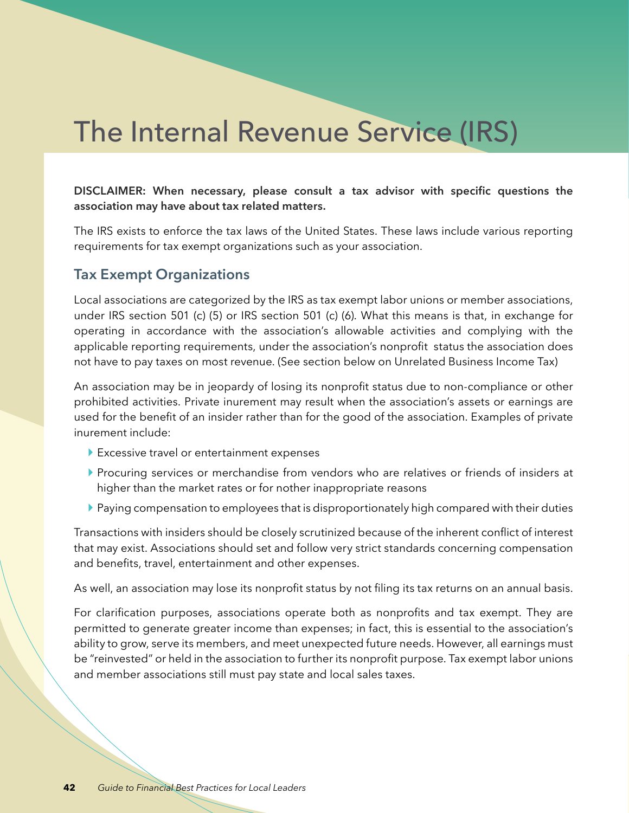# The Internal Revenue Service (IRS)

#### **DISCLAIMER: When necessary, please consult a tax advisor with specific questions the association may have about tax related matters.**

The IRS exists to enforce the tax laws of the United States. These laws include various reporting requirements for tax exempt organizations such as your association.

### **Tax Exempt Organizations**

Local associations are categorized by the IRS as tax exempt labor unions or member associations, under IRS section 501 (c) (5) or IRS section 501 (c) (6). What this means is that, in exchange for operating in accordance with the association's allowable activities and complying with the applicable reporting requirements, under the association's nonprofit status the association does not have to pay taxes on most revenue. (See section below on Unrelated Business Income Tax)

An association may be in jeopardy of losing its nonprofit status due to non-compliance or other prohibited activities. Private inurement may result when the association's assets or earnings are used for the benefit of an insider rather than for the good of the association. Examples of private inurement include:

- **Excessive travel or entertainment expenses**
- ▶ Procuring services or merchandise from vendors who are relatives or friends of insiders at higher than the market rates or for nother inappropriate reasons
- ▶ Paying compensation to employees that is disproportionately high compared with their duties

Transactions with insiders should be closely scrutinized because of the inherent conflict of interest that may exist. Associations should set and follow very strict standards concerning compensation and benefits, travel, entertainment and other expenses.

As well, an association may lose its nonprofit status by not filing its tax returns on an annual basis.

For clarification purposes, associations operate both as nonprofits and tax exempt. They are permitted to generate greater income than expenses; in fact, this is essential to the association's ability to grow, serve its members, and meet unexpected future needs. However, all earnings must be "reinvested" or held in the association to further its nonprofit purpose. Tax exempt labor unions and member associations still must pay state and local sales taxes.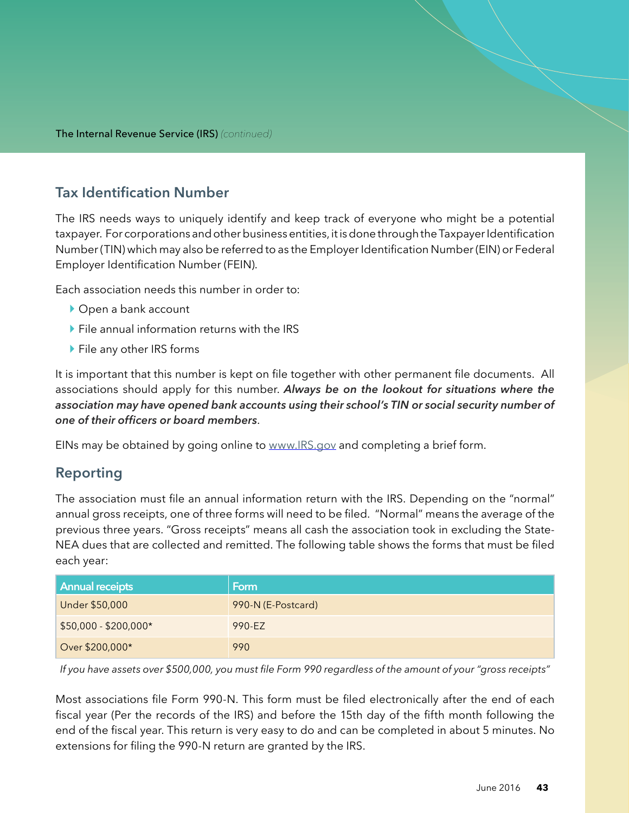# **Tax Identification Number**

The IRS needs ways to uniquely identify and keep track of everyone who might be a potential taxpayer. For corporations and other business entities, it is done through the Taxpayer Identification Number (TIN) which may also be referred to as the Employer Identification Number (EIN) or Federal Employer Identification Number (FEIN).

Each association needs this number in order to:

- ▶ Open a bank account
- $\blacktriangleright$  File annual information returns with the IRS
- ▶ File any other IRS forms

It is important that this number is kept on file together with other permanent file documents. All associations should apply for this number. *Always be on the lookout for situations where the association may have opened bank accounts using their school's TIN or social security number of one of their officers or board members*.

EINs may be obtained by going online to www.IRS.gov and completing a brief form.

# **Reporting**

The association must file an annual information return with the IRS. Depending on the "normal" annual gross receipts, one of three forms will need to be filed. "Normal" means the average of the previous three years. "Gross receipts" means all cash the association took in excluding the State-NEA dues that are collected and remitted. The following table shows the forms that must be filed each year:

| <b>Annual receipts</b> | Form               |
|------------------------|--------------------|
| <b>Under \$50,000</b>  | 990-N (E-Postcard) |
| \$50,000 - \$200,000*  | 990-EZ             |
| Over \$200,000*        | 990                |

*If you have assets over \$500,000, you must file Form 990 regardless of the amount of your "gross receipts"*

Most associations file Form 990-N. This form must be filed electronically after the end of each fiscal year (Per the records of the IRS) and before the 15th day of the fifth month following the end of the fiscal year. This return is very easy to do and can be completed in about 5 minutes. No extensions for filing the 990-N return are granted by the IRS.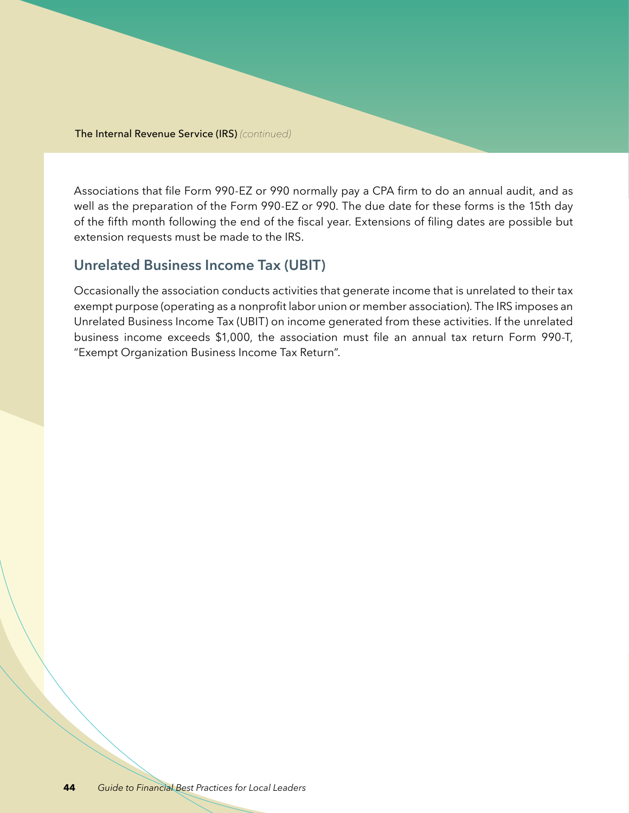The Internal Revenue Service (IRS) *(continued)*

Associations that file Form 990-EZ or 990 normally pay a CPA firm to do an annual audit, and as well as the preparation of the Form 990-EZ or 990. The due date for these forms is the 15th day of the fifth month following the end of the fiscal year. Extensions of filing dates are possible but extension requests must be made to the IRS.

#### **Unrelated Business Income Tax (UBIT)**

Occasionally the association conducts activities that generate income that is unrelated to their tax exempt purpose (operating as a nonprofit labor union or member association). The IRS imposes an Unrelated Business Income Tax (UBIT) on income generated from these activities. If the unrelated business income exceeds \$1,000, the association must file an annual tax return Form 990-T, "Exempt Organization Business Income Tax Return".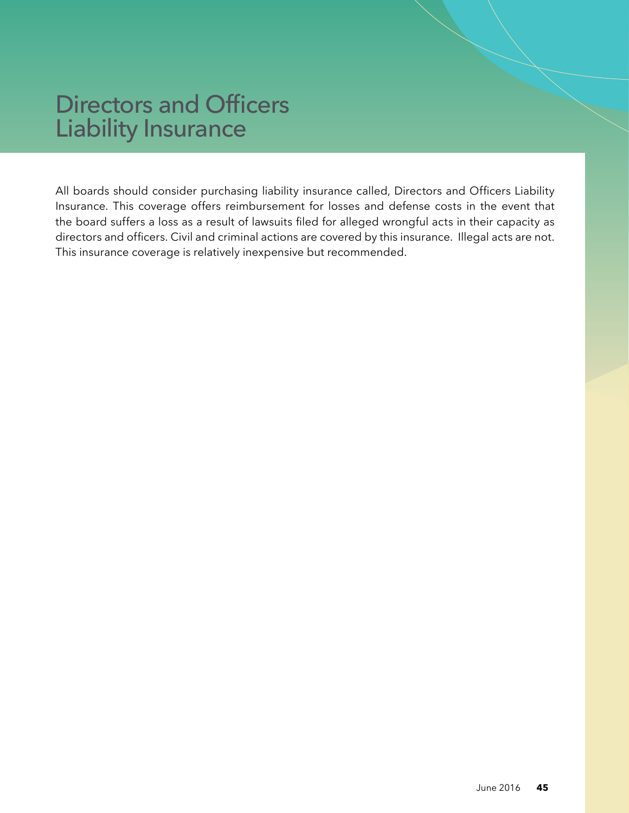# Directors and Officers Liability Insurance

All boards should consider purchasing liability insurance called, Directors and Officers Liability Insurance. This coverage offers reimbursement for losses and defense costs in the event that the board suffers a loss as a result of lawsuits filed for alleged wrongful acts in their capacity as directors and officers. Civil and criminal actions are covered by this insurance. Illegal acts are not. This insurance coverage is relatively inexpensive but recommended.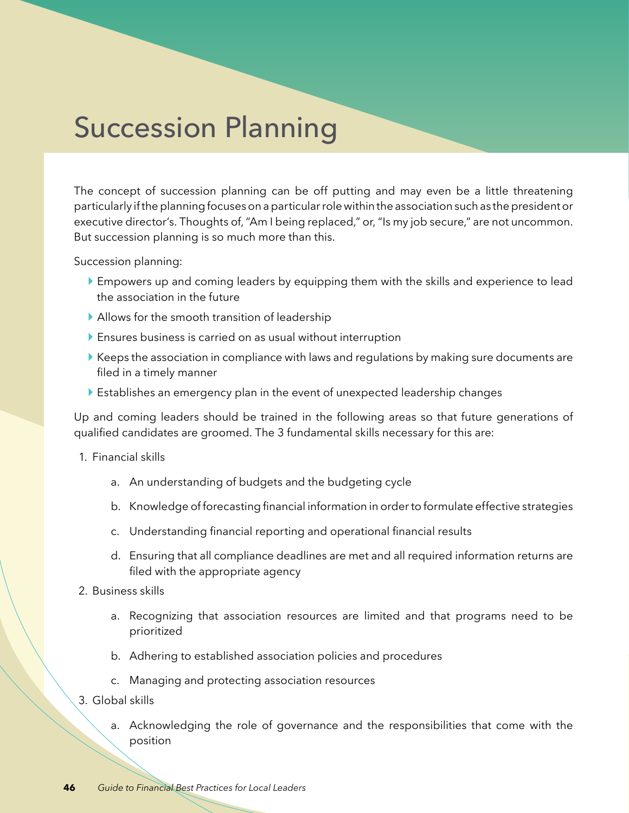# Succession Planning

The concept of succession planning can be off putting and may even be a little threatening particularly if the planning focuses on a particular role within the association such as the president or executive director's. Thoughts of, "Am I being replaced," or, "Is my job secure," are not uncommon. But succession planning is so much more than this.

Succession planning:

- ▶ Empowers up and coming leaders by equipping them with the skills and experience to lead the association in the future
- Allows for the smooth transition of leadership
- **Ensures business is carried on as usual without interruption**
- $\blacktriangleright$  Keeps the association in compliance with laws and regulations by making sure documents are filed in a timely manner
- **E** Establishes an emergency plan in the event of unexpected leadership changes

Up and coming leaders should be trained in the following areas so that future generations of qualified candidates are groomed. The 3 fundamental skills necessary for this are:

- 1. Financial skills
	- a. An understanding of budgets and the budgeting cycle
	- b. Knowledge of forecasting financial information in order to formulate effective strategies
	- c. Understanding financial reporting and operational financial results
	- d. Ensuring that all compliance deadlines are met and all required information returns are filed with the appropriate agency
- 2. Business skills
	- a. Recognizing that association resources are limited and that programs need to be prioritized
	- b. Adhering to established association policies and procedures
	- c. Managing and protecting association resources
- 3. Global skills
	- a. Acknowledging the role of governance and the responsibilities that come with the position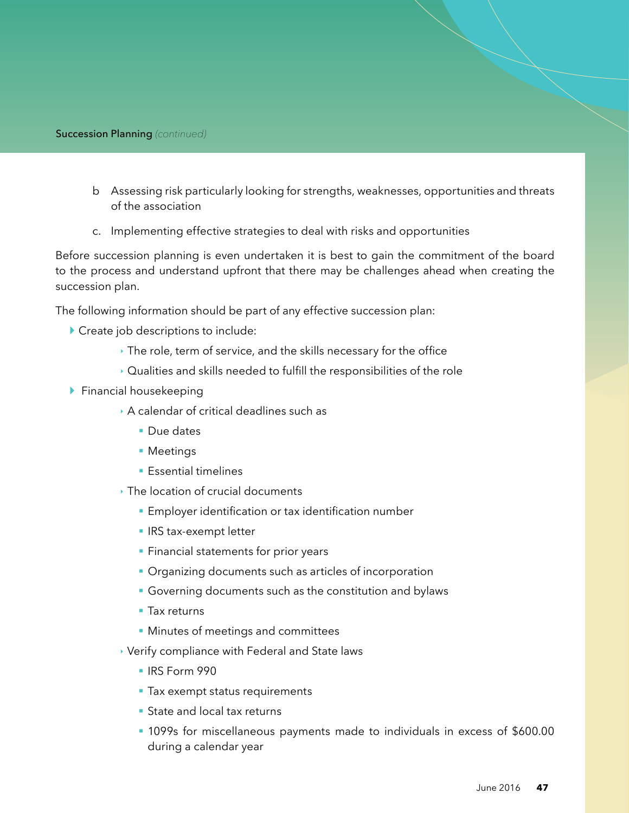- b Assessing risk particularly looking for strengths, weaknesses, opportunities and threats of the association
- c. Implementing effective strategies to deal with risks and opportunities

Before succession planning is even undertaken it is best to gain the commitment of the board to the process and understand upfront that there may be challenges ahead when creating the succession plan.

The following information should be part of any effective succession plan:

- **Create job descriptions to include:** 
	- $\rightarrow$  The role, term of service, and the skills necessary for the office
	- $\rightarrow$  Qualities and skills needed to fulfill the responsibilities of the role
- $\blacktriangleright$  Financial housekeeping
	- $\rightarrow$  A calendar of critical deadlines such as
		- **Due dates**
		- **Meetings**
		- **Essential timelines**
	- $\rightarrow$  The location of crucial documents
		- **Employer identification or tax identification number**
		- **IRS** tax-exempt letter
		- **Financial statements for prior years**
		- Organizing documents such as articles of incorporation
		- Governing documents such as the constitution and bylaws
		- Tax returns
		- **Minutes of meetings and committees**
	- ▶ Verify compliance with Federal and State laws
		- **IRS Form 990**
		- **Tax exempt status requirements**
		- **State and local tax returns**
		- 1099s for miscellaneous payments made to individuals in excess of \$600.00 during a calendar year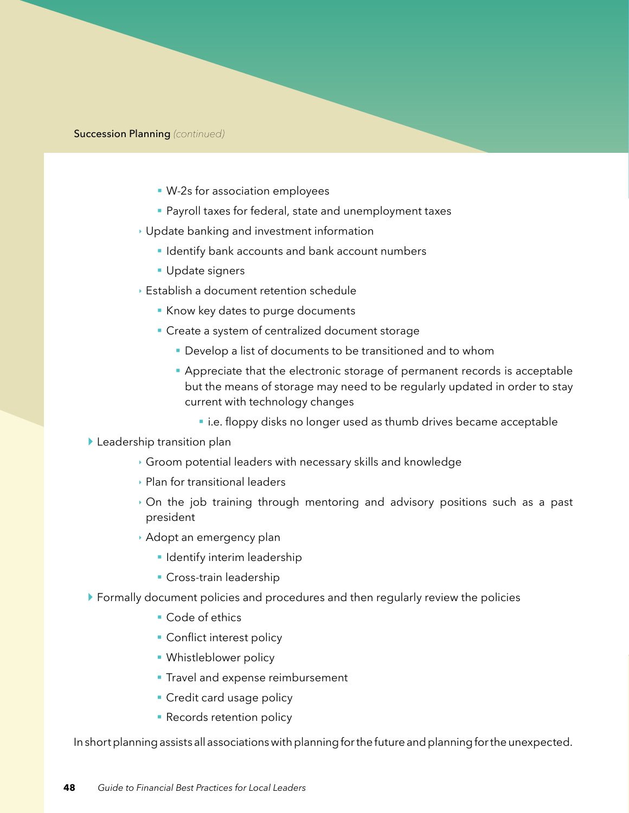#### Succession Planning *(continued)*

- W-2s for association employees
- Payroll taxes for federal, state and unemployment taxes
- $\rightarrow$  Update banking and investment information
	- **I** Identify bank accounts and bank account numbers
	- **Update signers**
- **Establish a document retention schedule** 
	- Know key dates to purge documents
	- Create a system of centralized document storage
		- Develop a list of documents to be transitioned and to whom
		- Appreciate that the electronic storage of permanent records is acceptable but the means of storage may need to be regularly updated in order to stay current with technology changes
			- **Example 1.5 Inche 10 is also used as thumb drives became acceptable**
- **Leadership transition plan** 
	- **Groom potential leaders with necessary skills and knowledge**
	- $\cdot$  Plan for transitional leaders
	- $\rightarrow$  On the job training through mentoring and advisory positions such as a past president
	- **Adopt an emergency plan** 
		- **I** Identify interim leadership
		- **Cross-train leadership**
- ``  Formally document policies and procedures and then regularly review the policies
	- Code of ethics
	- **Conflict interest policy**
	- **Whistleblower policy**
	- **Travel and expense reimbursement**
	- **Credit card usage policy**
	- **Records retention policy**

In short planning assists all associations with planning for the future and planning for the unexpected.